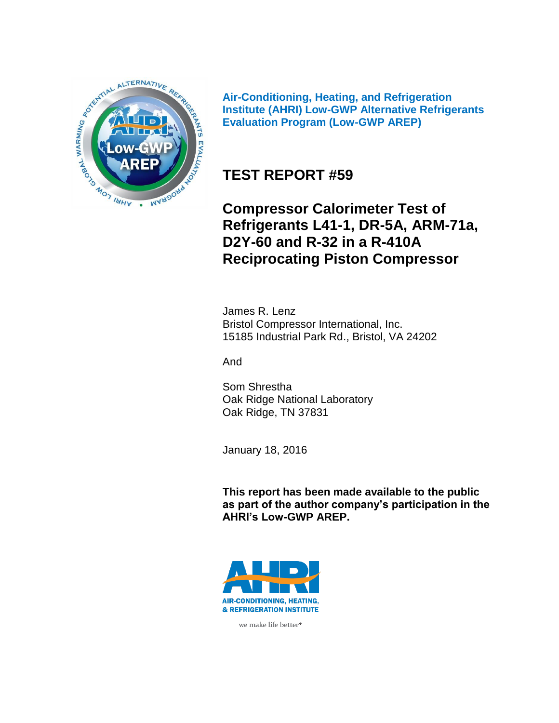

**Air-Conditioning, Heating, and Refrigeration Institute (AHRI) Low-GWP Alternative Refrigerants Evaluation Program (Low-GWP AREP)**

# **TEST REPORT #59**

**Compressor Calorimeter Test of Refrigerants L41-1, DR-5A, ARM-71a, D2Y-60 and R-32 in a R-410A Reciprocating Piston Compressor**

James R. Lenz Bristol Compressor International, Inc. 15185 Industrial Park Rd., Bristol, VA 24202

And

Som Shrestha Oak Ridge National Laboratory Oak Ridge, TN 37831

January 18, 2016

**This report has been made available to the public as part of the author company's participation in the AHRI's Low-GWP AREP.**



we make life better<sup>®</sup>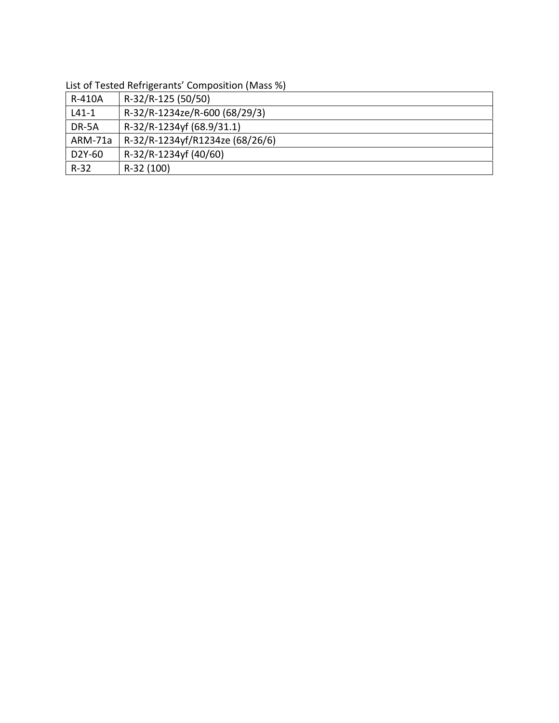|         | List of rested nerrigerarits composition (ivides 70) |
|---------|------------------------------------------------------|
| R-410A  | R-32/R-125 (50/50)                                   |
| $L41-1$ | R-32/R-1234ze/R-600 (68/29/3)                        |
| DR-5A   | R-32/R-1234yf (68.9/31.1)                            |
| ARM-71a | R-32/R-1234yf/R1234ze (68/26/6)                      |
| D2Y-60  | R-32/R-1234yf (40/60)                                |
| $R-32$  | R-32 (100)                                           |

List of Tested Refrigerants' Composition (Mass %)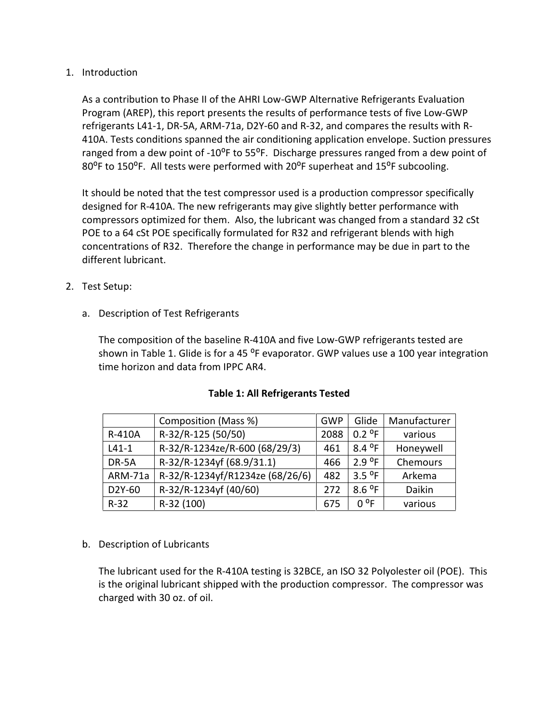#### 1. Introduction

As a contribution to Phase II of the AHRI Low-GWP Alternative Refrigerants Evaluation Program (AREP), this report presents the results of performance tests of five Low-GWP refrigerants L41-1, DR-5A, ARM-71a, D2Y-60 and R-32, and compares the results with R- 410A. Tests conditions spanned the air conditioning application envelope. Suction pressures ranged from a dew point of -10<sup>o</sup>F to 55<sup>o</sup>F. Discharge pressures ranged from a dew point of 80<sup>o</sup>F to 150<sup>o</sup>F. All tests were performed with 20<sup>o</sup>F superheat and 15<sup>o</sup>F subcooling.

It should be noted that the test compressor used is a production compressor specifically designed for R-410A. The new refrigerants may give slightly better performance with compressors optimized for them. Also, the lubricant was changed from a standard 32 cSt POE to a 64 cSt POE specifically formulated for R32 and refrigerant blends with high concentrations of R32. Therefore the change in performance may be due in part to the different lubricant.

- 2. Test Setup:
	- a. Description of Test Refrigerants

The composition of the baseline R-410A and five Low-GWP refrigerants tested are shown in Table 1. Glide is for a 45 °F evaporator. GWP values use a 100 year integration time horizon and data from IPPC AR4.

|         | Composition (Mass %)            | GWP  | Glide  | Manufacturer |
|---------|---------------------------------|------|--------|--------------|
| R-410A  | R-32/R-125 (50/50)              | 2088 | 0.2 °F | various      |
| $L41-1$ | R-32/R-1234ze/R-600 (68/29/3)   | 461  | 8.4 °F | Honeywell    |
| DR-5A   | R-32/R-1234yf (68.9/31.1)       | 466  | 2.9 °F | Chemours     |
| ARM-71a | R-32/R-1234yf/R1234ze (68/26/6) | 482  | 3.5 °F | Arkema       |
| D2Y-60  | R-32/R-1234yf (40/60)           | 272  | 8.6 °F | Daikin       |
| $R-32$  | R-32 (100)                      | 675  | n ºF   | various      |

#### **Table 1: All Refrigerants Tested**

b. Description of Lubricants

The lubricant used for the R-410A testing is 32BCE, an ISO 32 Polyolester oil (POE). This is the original lubricant shipped with the production compressor. The compressor was charged with 30 oz. of oil.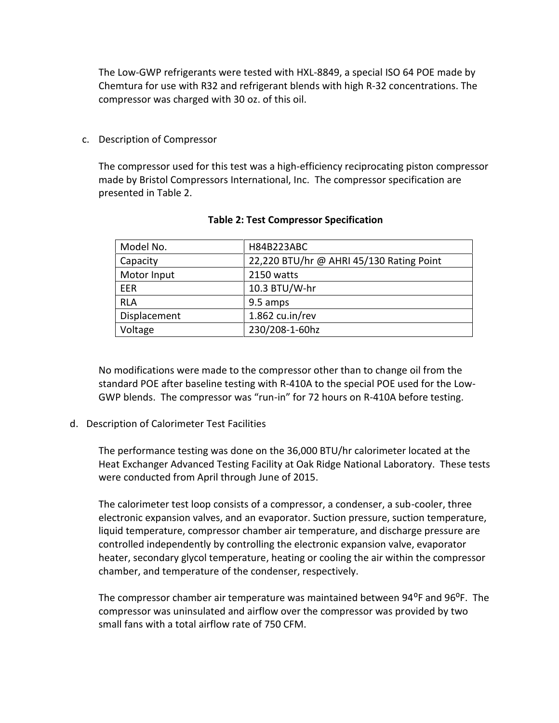The Low-GWP refrigerants were tested with HXL-8849, a special ISO 64 POE made by Chemtura for use with R32 and refrigerant blends with high R-32 concentrations. The compressor was charged with 30 oz. of this oil.

c. Description of Compressor

The compressor used for this test was a high-efficiency reciprocating piston compressor made by Bristol Compressors International, Inc. The compressor specification are presented in Table 2.

| Model No.    | H84B223ABC                               |
|--------------|------------------------------------------|
| Capacity     | 22,220 BTU/hr @ AHRI 45/130 Rating Point |
| Motor Input  | 2150 watts                               |
| <b>FFR</b>   | 10.3 BTU/W-hr                            |
| RLA          | 9.5 amps                                 |
| Displacement | $1.862 \text{ cu.in/rev}$                |
| Voltage      | 230/208-1-60hz                           |

#### **Table 2: Test Compressor Specification**

No modifications were made to the compressor other than to change oil from the standard POE after baseline testing with R-410A to the special POE used for the Low- GWP blends. The compressor was "run-in" for 72 hours on R-410A before testing.

d. Description of Calorimeter Test Facilities

The performance testing was done on the 36,000 BTU/hr calorimeter located at the Heat Exchanger Advanced Testing Facility at Oak Ridge National Laboratory. These tests were conducted from April through June of 2015.

The calorimeter test loop consists of a compressor, a condenser, a sub-cooler, three electronic expansion valves, and an evaporator. Suction pressure, suction temperature, liquid temperature, compressor chamber air temperature, and discharge pressure are controlled independently by controlling the electronic expansion valve, evaporator heater, secondary glycol temperature, heating or cooling the air within the compressor chamber, and temperature of the condenser, respectively.

The compressor chamber air temperature was maintained between 94<sup>o</sup>F and 96<sup>o</sup>F. The compressor was uninsulated and airflow over the compressor was provided by two small fans with a total airflow rate of 750 CFM.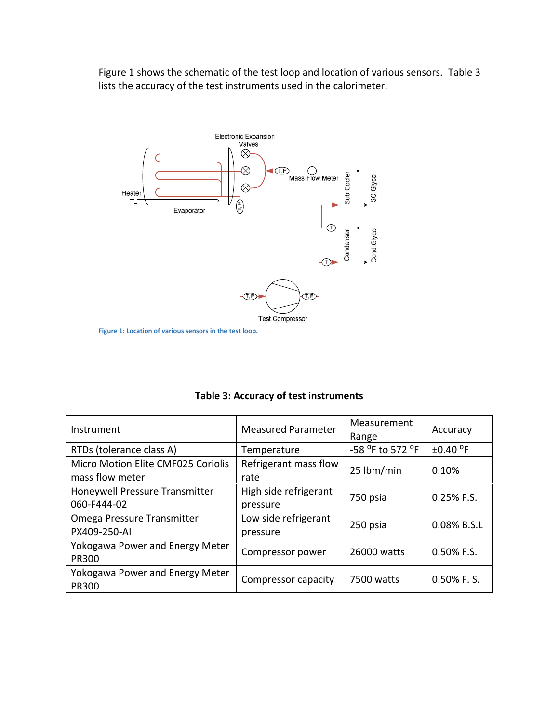Figure 1 shows the schematic of the test loop and location of various sensors. Table 3 lists the accuracy of the test instruments used in the calorimeter.



**Figure 1: Location of various sensors in the test loop.**

| Instrument                                            | <b>Measured Parameter</b>         | Measurement<br>Range | Accuracy       |
|-------------------------------------------------------|-----------------------------------|----------------------|----------------|
| RTDs (tolerance class A)                              | Temperature                       | -58 °F to 572 °F     | ±0.40 °F       |
| Micro Motion Elite CMF025 Coriolis<br>mass flow meter | Refrigerant mass flow<br>rate     | 25 lbm/min           | 0.10%          |
| Honeywell Pressure Transmitter<br>060-F444-02         | High side refrigerant<br>pressure | 750 psia             | 0.25% F.S.     |
| Omega Pressure Transmitter<br>PX409-250-AI            | Low side refrigerant<br>pressure  | 250 psia             | 0.08% B.S.L    |
| Yokogawa Power and Energy Meter<br>PR300              | Compressor power                  | 26000 watts          | $0.50\%$ F.S.  |
| Yokogawa Power and Energy Meter<br><b>PR300</b>       | Compressor capacity               | 7500 watts           | $0.50\%$ F. S. |

|  | Table 3: Accuracy of test instruments |
|--|---------------------------------------|
|--|---------------------------------------|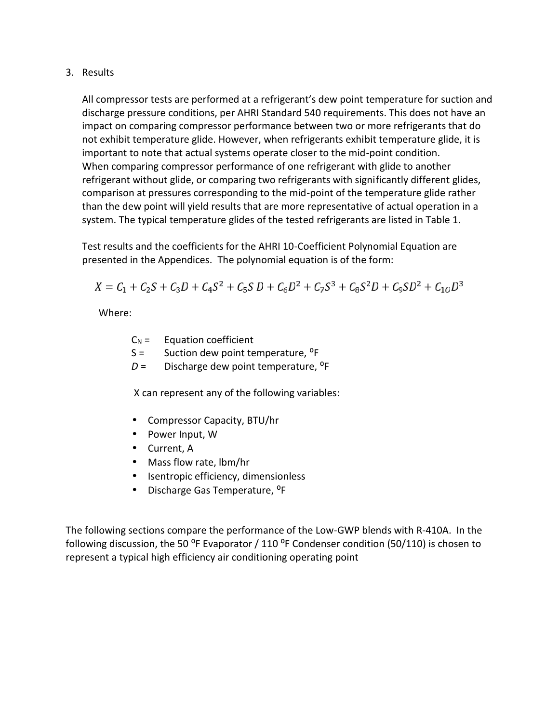3. Results

All compressor tests are performed at a refrigerant's dew point temperature for suction and discharge pressure conditions, per AHRI Standard 540 requirements. This does not have an impact on comparing compressor performance between two or more refrigerants that do not exhibit temperature glide. However, when refrigerants exhibit temperature glide, it is important to note that actual systems operate closer to the mid-point condition. When comparing compressor performance of one refrigerant with glide to another refrigerant without glide, or comparing two refrigerants with significantly different glides, comparison at pressures corresponding to the mid-point of the temperature glide rather than the dew point will yield results that are more representative of actual operation in a system. The typical temperature glides of the tested refrigerants are listed in Table 1.

Test results and the coefficients for the AHRI 10-Coefficient Polynomial Equation are presented in the Appendices. The polynomial equation is of the form:

$$
X = C_1 + C_2S + C_3D + C_4S^2 + C_5S D + C_6D^2 + C_7S^3 + C_8S^2 D + C_9SD^2 + C_{10}D^3
$$

Where:

| $C_N =$ | Equation coefficient |  |
|---------|----------------------|--|
|---------|----------------------|--|

- $S =$  Suction dew point temperature, <sup>o</sup>F
- $D =$  Discharge dew point temperature, <sup>o</sup>F

X can represent any of the following variables:

- Compressor Capacity, BTU/hr
- Power Input, W
- Current, A
- Mass flow rate, lbm/hr
- Isentropic efficiency, dimensionless
- Discharge Gas Temperature, <sup>o</sup>F

The following sections compare the performance of the Low-GWP blends with R-410A. In the following discussion, the 50  $^{\circ}$ F Evaporator / 110  $^{\circ}$ F Condenser condition (50/110) is chosen to represent a typical high efficiency air conditioning operating point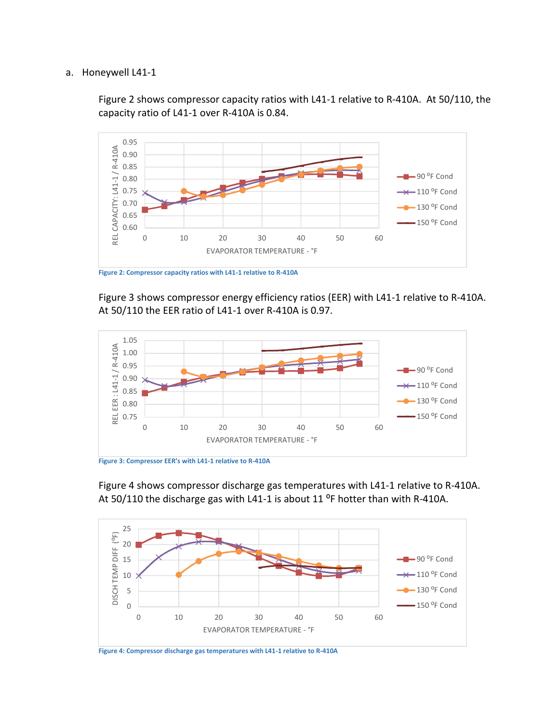#### a. Honeywell L41-1

Figure 2 shows compressor capacity ratios with L41-1 relative to R-410A. At 50/110, the capacity ratio of L41-1 over R-410A is 0.84.



**Figure 2: Compressor capacity ratios with L41-1 relative to R-410A**

Figure 3 shows compressor energy efficiency ratios (EER) with L41-1 relative to R-410A. At 50/110 the EER ratio of L41-1 over R-410A is 0.97.





Figure 4 shows compressor discharge gas temperatures with L41-1 relative to R-410A. At 50/110 the discharge gas with L41-1 is about 11 $^{\circ}$ F hotter than with R-410A.



**Figure 4: Compressor discharge gas temperatures with L41-1 relative to R-410A**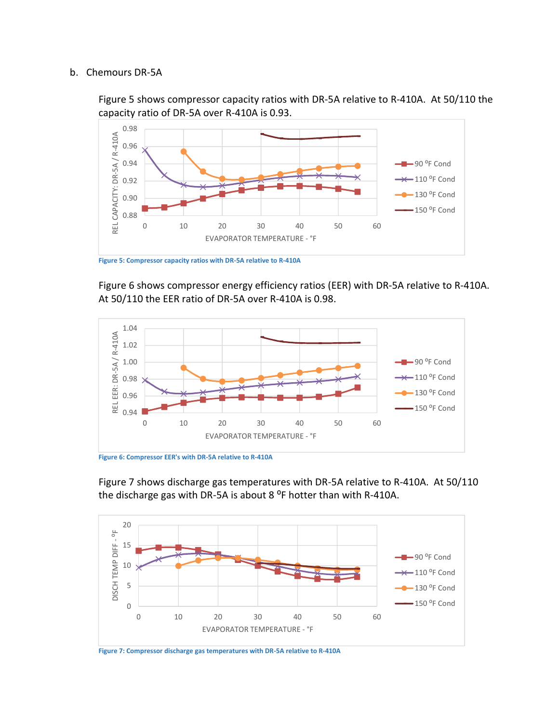#### b. Chemours DR-5A

Figure 5 shows compressor capacity ratios with DR-5A relative to R-410A. At 50/110 the capacity ratio of DR-5A over R-410A is 0.93.



**Figure 5: Compressor capacity ratios with DR-5A relative to R-410A**

Figure 6 shows compressor energy efficiency ratios (EER) with DR-5A relative to R-410A. At 50/110 the EER ratio of DR-5A over R-410A is 0.98.



**Figure 6: Compressor EER's with DR-5A relative to R-410A**

Figure 7 shows discharge gas temperatures with DR-5A relative to R-410A. At 50/110 the discharge gas with DR-5A is about 8  $^{\circ}$ F hotter than with R-410A.



**Figure 7: Compressor discharge gas temperatures with DR-5A relative to R-410A**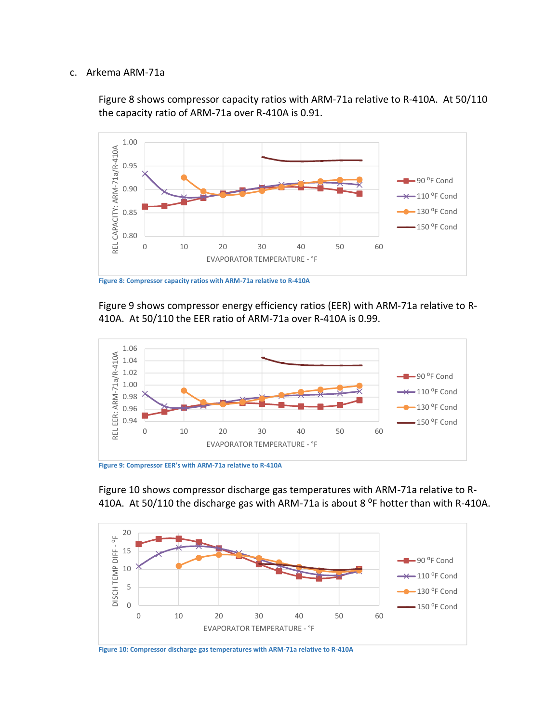#### c. Arkema ARM-71a

Figure 8 shows compressor capacity ratios with ARM-71a relative to R-410A. At 50/110 the capacity ratio of ARM-71a over R-410A is 0.91.



**Figure 8: Compressor capacity ratios with ARM-71a relative to R-410A**

Figure 9 shows compressor energy efficiency ratios (EER) with ARM-71a relative to R- 410A. At 50/110 the EER ratio of ARM-71a over R-410A is 0.99.



Figure 10 shows compressor discharge gas temperatures with ARM-71a relative to R- 410A. At 50/110 the discharge gas with ARM-71a is about 8  $\degree$ F hotter than with R-410A.



**Figure 10: Compressor discharge gas temperatures with ARM-71a relative to R-410A**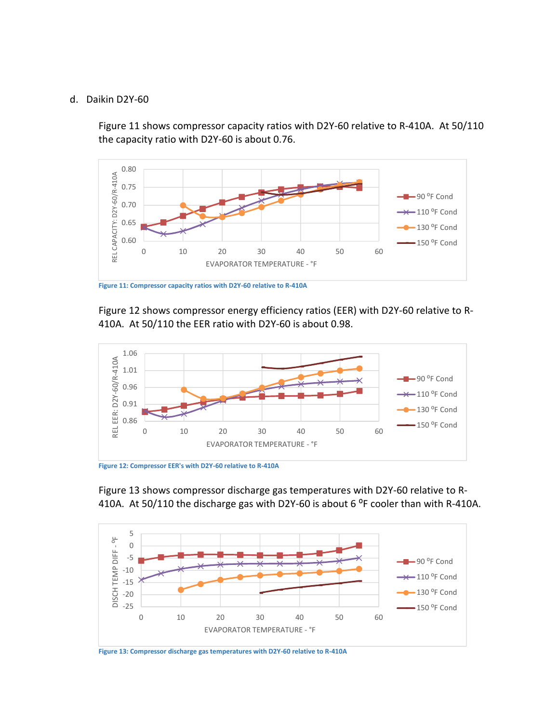#### d. Daikin D2Y-60

Figure 11 shows compressor capacity ratios with D2Y-60 relative to R-410A. At 50/110 the capacity ratio with D2Y-60 is about 0.76.



**Figure 11: Compressor capacity ratios with D2Y-60 relative to R-410A**

Figure 12 shows compressor energy efficiency ratios (EER) with D2Y-60 relative to R- 410A. At 50/110 the EER ratio with D2Y-60 is about 0.98.







**Figure 13: Compressor discharge gas temperatures with D2Y-60 relative to R-410A**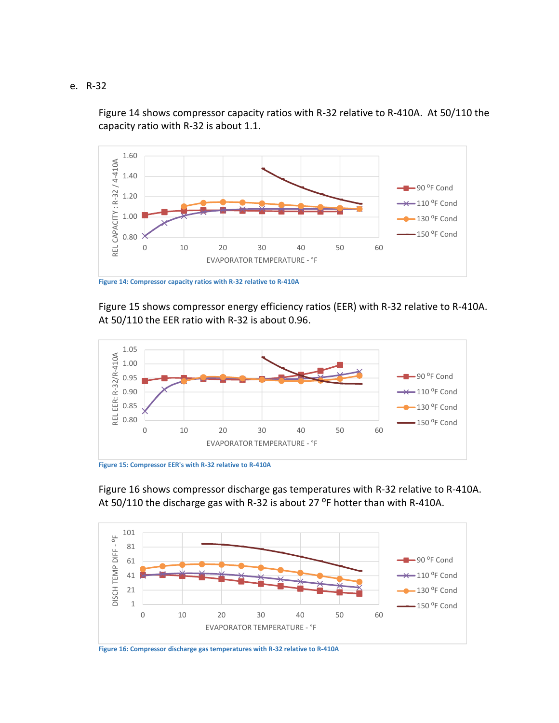e. R-32

Figure 14 shows compressor capacity ratios with R-32 relative to R-410A. At 50/110 the capacity ratio with R-32 is about 1.1.



**Figure 14: Compressor capacity ratios with R-32 relative to R-410A**

Figure 15 shows compressor energy efficiency ratios (EER) with R-32 relative to R-410A. At 50/110 the EER ratio with R-32 is about 0.96.



Figure 16 shows compressor discharge gas temperatures with R-32 relative to R-410A. At 50/110 the discharge gas with R-32 is about 27  $^{\circ}$ F hotter than with R-410A.



**Figure 16: Compressor discharge gas temperatures with R-32 relative to R-410A**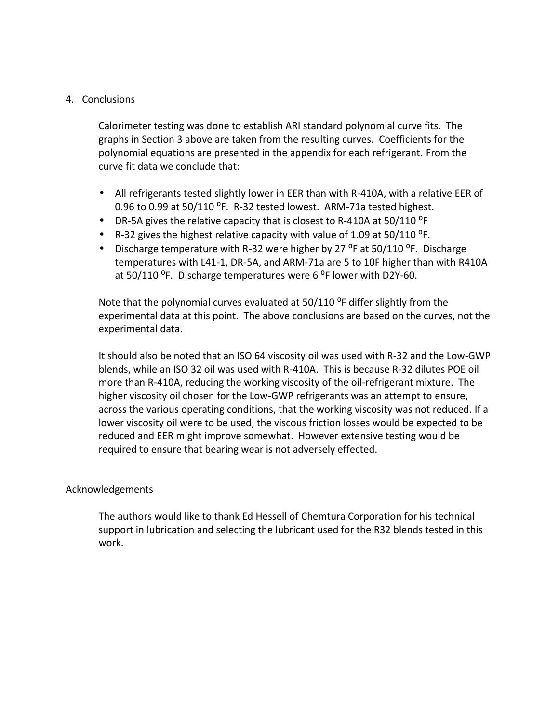#### 4. Conclusions

Calorimeter testing was done to establish ARI standard polynomial curve fits. The graphs in Section 3 above are taken from the resulting curves. Coefficients for the polynomial equations are presented in the appendix for each refrigerant. From the curve fit data we conclude that:

- All refrigerants tested slightly lower in EER than with R-410A, with a relative EER of 0.96 to 0.99 at 50/110 °F. R-32 tested lowest. ARM-71a tested highest.
- DR-5A gives the relative capacity that is closest to R-410A at 50/110 <sup>o</sup>F
- R-32 gives the highest relative capacity with value of 1.09 at  $50/110$  <sup>o</sup>F.
- Discharge temperature with R-32 were higher by 27  $^{\circ}$ F at 50/110  $^{\circ}$ F. Discharge temperatures with L41-1, DR-5A, and ARM-71a are 5 to 10F higher than with R410A at 50/110 °F. Discharge temperatures were 6 °F lower with D2Y-60.

Note that the polynomial curves evaluated at  $50/110$  <sup>o</sup>F differ slightly from the experimental data at this point. The above conclusions are based on the curves, not the experimental data.

It should also be noted that an ISO 64 viscosity oil was used with R-32 and the Low-GWP blends, while an ISO 32 oil was used with R-410A. This is because R-32 dilutes POE oil more than R-410A, reducing the working viscosity of the oil-refrigerant mixture. The higher viscosity oil chosen for the Low-GWP refrigerants was an attempt to ensure, across the various operating conditions, that the working viscosity was not reduced. If a lower viscosity oil were to be used, the viscous friction losses would be expected to be reduced and EER might improve somewhat. However extensive testing would be required to ensure that bearing wear is not adversely effected.

#### Acknowledgements

The authors would like to thank Ed Hessell of Chemtura Corporation for his technical support in lubrication and selecting the lubricant used for the R32 blends tested in this work.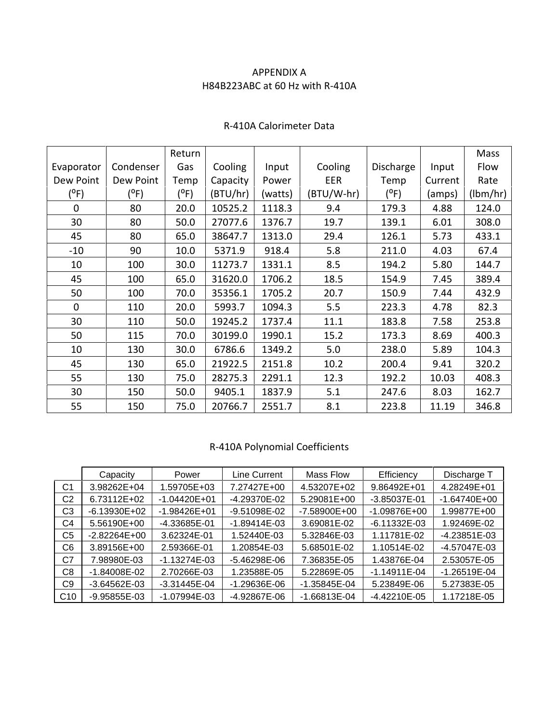## APPENDIX A H84B223ABC at 60 Hz with R-410A

|                |           | Return  |          |         |            |               |         | Mass     |
|----------------|-----------|---------|----------|---------|------------|---------------|---------|----------|
| Evaporator     | Condenser | Gas     | Cooling  | Input   | Cooling    | Discharge     | Input   | Flow     |
| Dew Point      | Dew Point | Temp    | Capacity | Power   | EER        | Temp          | Current | Rate     |
| $(^oF)$        | $(^oF)$   | $(^oF)$ | (BTU/hr) | (watts) | (BTU/W-hr) | $(^{\circ}F)$ | (amps)  | (lbm/hr) |
| $\overline{0}$ | 80        | 20.0    | 10525.2  | 1118.3  | 9.4        | 179.3         | 4.88    | 124.0    |
| 30             | 80        | 50.0    | 27077.6  | 1376.7  | 19.7       | 139.1         | 6.01    | 308.0    |
| 45             | 80        | 65.0    | 38647.7  | 1313.0  | 29.4       | 126.1         | 5.73    | 433.1    |
| $-10$          | 90        | 10.0    | 5371.9   | 918.4   | 5.8        | 211.0         | 4.03    | 67.4     |
| 10             | 100       | 30.0    | 11273.7  | 1331.1  | 8.5        | 194.2         | 5.80    | 144.7    |
| 45             | 100       | 65.0    | 31620.0  | 1706.2  | 18.5       | 154.9         | 7.45    | 389.4    |
| 50             | 100       | 70.0    | 35356.1  | 1705.2  | 20.7       | 150.9         | 7.44    | 432.9    |
| $\mathbf 0$    | 110       | 20.0    | 5993.7   | 1094.3  | 5.5        | 223.3         | 4.78    | 82.3     |
| 30             | 110       | 50.0    | 19245.2  | 1737.4  | 11.1       | 183.8         | 7.58    | 253.8    |
| 50             | 115       | 70.0    | 30199.0  | 1990.1  | 15.2       | 173.3         | 8.69    | 400.3    |
| 10             | 130       | 30.0    | 6786.6   | 1349.2  | 5.0        | 238.0         | 5.89    | 104.3    |
| 45             | 130       | 65.0    | 21922.5  | 2151.8  | 10.2       | 200.4         | 9.41    | 320.2    |
| 55             | 130       | 75.0    | 28275.3  | 2291.1  | 12.3       | 192.2         | 10.03   | 408.3    |
| 30             | 150       | 50.0    | 9405.1   | 1837.9  | 5.1        | 247.6         | 8.03    | 162.7    |
| 55             | 150       | 75.0    | 20766.7  | 2551.7  | 8.1        | 223.8         | 11.19   | 346.8    |

#### R-410A Calorimeter Data

# R-410A Polynomial Coefficients

|                 | Capacity       | Power            | Line Current   | Mass Flow        | Efficiency       | Discharge T      |
|-----------------|----------------|------------------|----------------|------------------|------------------|------------------|
| C <sub>1</sub>  | 3.98262E+04    | 1.59705E+03      | 7.27427E+00    | 4.53207E+02      | 9.86492E+01      | 4.28249E+01      |
| C2              | 6.73112E+02    | $-1.04420E + 01$ | -4.29370E-02   | 5.29081E+00      | $-3.85037E-01$   | $-1.64740E + 00$ |
| C3              | $-6.13930E+02$ | $-1.98426E + 01$ | -9.51098E-02   | -7.58900E+00     | $-1.09876E + 00$ | 1.99877E+00      |
| C4              | 5.56190E+00    | -4.33685E-01     | $-1.89414E-03$ | 3.69081E-02      | $-6.11332E-03$   | 1.92469E-02      |
| C <sub>5</sub>  | $-2.82264E+00$ | 3.62324E-01      | 1.52440E-03    | 5.32846E-03      | 1.11781E-02      | $-4.23851E-03$   |
| C6              | 3.89156E+00    | 2.59366E-01      | 1.20854E-03    | 5.68501E-02      | 1.10514E-02      | -4.57047E-03     |
| C7              | 7.98980E-03    | $-1.13274E-03$   | -5.46298E-06   | 7.36835E-05      | 1.43876E-04      | 2.53057E-05      |
| C8              | -1.84008E-02   | 2.70266E-03      | 1.23588E-05    | 5.22869E-05      | $-1.14911E-04$   | -1.26519E-04     |
| C9              | -3.64562E-03   | -3.31445E-04     | -1.29636E-06   | $-1.35845E - 04$ | 5.23849E-06      | 5.27383E-05      |
| C <sub>10</sub> | -9.95855E-03   | $-1.07994E - 03$ | -4.92867E-06   | $-1.66813E-04$   | $-4.42210E-05$   | 1.17218E-05      |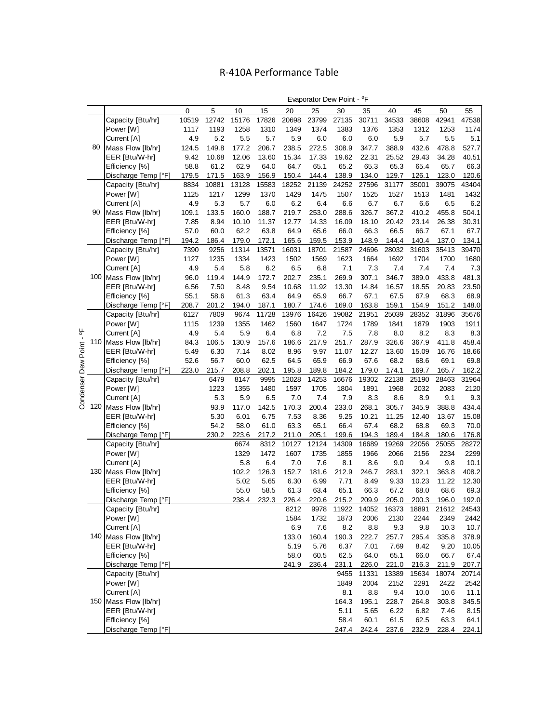# R-410A Performance Table

ľ

|                   |       |       |       |       |       | Evaporator Dew Point - <sup>o</sup> F |       |       |       |       |         |       |
|-------------------|-------|-------|-------|-------|-------|---------------------------------------|-------|-------|-------|-------|---------|-------|
|                   |       | 5     | 10    | 15    | 20    | 25                                    | 30    | 35    | 40    | 45    | 50      | 55    |
| Capacity [Btu/hr] | 10519 | 12742 | 15176 | 17826 | 20698 | 23799                                 | 27135 | 30711 | 34533 | 38608 | 42941   | 47538 |
| Power [W]         | 1117  | 1193  | 1258  | 1310  | 1349  | 1374                                  | 1383  | 1376  | 1353  | 1312  | 1253    | 1174  |
| Current [A]       | 4.9   | 5.2   | 5.5   | 5.7   | 5.9   | 6.0                                   | 6.0   | 6.0   | 5.9   | 5.7   | $5.5\,$ | 5.11  |
| Mass Flow [lb/hr] | 124.5 | 149.8 | 177.2 | 206.7 | 238.5 | 272.5                                 | 308.9 | 347.7 | 388.9 | 432.6 | 478.8   | 527.7 |
| EER IBtu/W-hrl    | 9.42  | 10.68 | 12.06 | 13.60 | 15.34 | 17.33                                 | 19.62 | 22.31 | 25.52 | 29.43 | 34.28   | 40.51 |

|                       |    | Power [W]             | 1117  | 1193  | 1258  | 1310  | 1349  | 1374  | 1383  | 1376  | 1353  | 1312  | 1253  | 1174  |
|-----------------------|----|-----------------------|-------|-------|-------|-------|-------|-------|-------|-------|-------|-------|-------|-------|
|                       |    | Current [A]           | 4.9   | 5.2   | 5.5   | 5.7   | 5.9   | 6.0   | 6.0   | 6.0   | 5.9   | 5.7   | 5.5   | 5.1   |
|                       | 80 | Mass Flow [lb/hr]     | 124.5 | 149.8 | 177.2 | 206.7 | 238.5 | 272.5 | 308.9 | 347.7 | 388.9 | 432.6 | 478.8 | 527.7 |
|                       |    | EER [Btu/W-hr]        | 9.42  | 10.68 | 12.06 | 13.60 | 15.34 | 17.33 | 19.62 | 22.31 | 25.52 | 29.43 | 34.28 | 40.51 |
|                       |    | Efficiency [%]        | 58.8  | 61.2  | 62.9  | 64.0  | 64.7  | 65.1  | 65.2  | 65.3  | 65.3  | 65.4  | 65.7  | 66.3  |
|                       |    | Discharge Temp [°F]   | 179.5 | 171.5 | 163.9 | 156.9 | 150.4 | 144.4 | 138.9 | 134.0 | 129.7 | 126.1 | 123.0 | 120.6 |
|                       |    | Capacity [Btu/hr]     | 8834  | 10881 | 13128 | 15583 | 18252 | 21139 | 24252 | 27596 | 31177 | 35001 | 39075 | 43404 |
|                       |    | Power [W]             | 1125  | 1217  | 1299  | 1370  | 1429  | 1475  | 1507  | 1525  | 1527  | 1513  | 1481  | 1432  |
|                       |    | Current [A]           | 4.9   | 5.3   | 5.7   | 6.0   | 6.2   | 6.4   | 6.6   | 6.7   | 6.7   | 6.6   | 6.5   | 6.2   |
|                       | 90 | Mass Flow [lb/hr]     | 109.1 | 133.5 | 160.0 | 188.7 | 219.7 | 253.0 | 288.6 | 326.7 | 367.2 | 410.2 | 455.8 | 504.1 |
|                       |    | EER [Btu/W-hr]        | 7.85  | 8.94  | 10.10 | 11.37 | 12.77 | 14.33 | 16.09 | 18.10 | 20.42 | 23.14 | 26.38 | 30.31 |
|                       |    | Efficiency [%]        | 57.0  | 60.0  | 62.2  | 63.8  | 64.9  | 65.6  | 66.0  | 66.3  | 66.5  | 66.7  | 67.1  | 67.7  |
|                       |    | Discharge Temp [°F]   | 194.2 | 186.4 | 179.0 | 172.1 | 165.6 | 159.5 | 153.9 | 148.9 | 144.4 | 140.4 | 137.0 | 134.1 |
|                       |    | Capacity [Btu/hr]     | 7390  | 9256  | 11314 | 13571 | 16031 | 18701 | 21587 | 24696 | 28032 | 31603 | 35413 | 39470 |
|                       |    | Power [W]             | 1127  | 1235  | 1334  | 1423  | 1502  | 1569  | 1623  | 1664  | 1692  | 1704  | 1700  | 1680  |
|                       |    | Current [A]           | 4.9   | 5.4   | 5.8   | 6.2   | 6.5   | 6.8   | 7.1   | 7.3   | 7.4   | 7.4   | 7.4   | 7.3   |
|                       |    | 100 Mass Flow [lb/hr] | 96.0  | 119.4 | 144.9 | 172.7 | 202.7 | 235.1 | 269.9 | 307.1 | 346.7 | 389.0 | 433.8 | 481.3 |
|                       |    | EER [Btu/W-hr]        | 6.56  | 7.50  | 8.48  | 9.54  | 10.68 | 11.92 | 13.30 | 14.84 | 16.57 | 18.55 | 20.83 | 23.50 |
|                       |    | Efficiency [%]        | 55.1  | 58.6  | 61.3  | 63.4  | 64.9  | 65.9  | 66.7  | 67.1  | 67.5  | 67.9  | 68.3  | 68.9  |
|                       |    | Discharge Temp [°F]   | 208.7 | 201.2 | 194.0 | 187.1 | 180.7 | 174.6 | 169.0 | 163.8 | 159.1 | 154.9 | 151.2 | 148.0 |
|                       |    | Capacity [Btu/hr]     | 6127  | 7809  | 9674  | 11728 | 13976 | 16426 | 19082 | 21951 | 25039 | 28352 | 31896 | 35676 |
|                       |    | Power [W]             | 1115  | 1239  | 1355  | 1462  | 1560  | 1647  | 1724  | 1789  | 1841  | 1879  | 1903  | 1911  |
| 능                     |    | Current [A]           | 4.9   | 5.4   | 5.9   | 6.4   | 6.8   | 7.2   | 7.5   | 7.8   | 8.0   | 8.2   | 8.3   | 8.3   |
|                       |    | 110 Mass Flow [lb/hr] | 84.3  | 106.5 | 130.9 | 157.6 | 186.6 | 217.9 | 251.7 | 287.9 | 326.6 | 367.9 | 411.8 | 458.4 |
|                       |    | EER [Btu/W-hr]        | 5.49  | 6.30  | 7.14  | 8.02  | 8.96  | 9.97  | 11.07 | 12.27 | 13.60 | 15.09 | 16.76 | 18.66 |
|                       |    | Efficiency [%]        | 52.6  | 56.7  | 60.0  | 62.5  | 64.5  | 65.9  | 66.9  | 67.6  | 68.2  | 68.6  | 69.1  | 69.8  |
|                       |    | Discharge Temp [°F]   | 223.0 | 215.7 | 208.8 | 202.1 | 195.8 | 189.8 | 184.2 | 179.0 | 174.1 | 169.7 | 165.7 | 162.2 |
| Condenser Dew Point - |    | Capacity [Btu/hr]     |       | 6479  | 8147  | 9995  | 12028 | 14253 | 16676 | 19302 | 22138 | 25190 | 28463 | 31964 |
|                       |    | Power [W]             |       | 1223  | 1355  | 1480  | 1597  | 1705  | 1804  | 1891  | 1968  | 2032  | 2083  | 2120  |
|                       |    | Current [A]           |       | 5.3   | 5.9   | 6.5   | 7.0   | 7.4   | 7.9   | 8.3   | 8.6   | 8.9   | 9.1   | 9.3   |
|                       |    | 120 Mass Flow [lb/hr] |       | 93.9  | 117.0 | 142.5 | 170.3 | 200.4 | 233.0 | 268.1 | 305.7 | 345.9 | 388.8 | 434.4 |
|                       |    | EER [Btu/W-hr]        |       | 5.30  | 6.01  | 6.75  | 7.53  | 8.36  | 9.25  | 10.21 | 11.25 | 12.40 | 13.67 | 15.08 |
|                       |    | Efficiency [%]        |       | 54.2  | 58.0  | 61.0  | 63.3  | 65.1  | 66.4  | 67.4  | 68.2  | 68.8  | 69.3  | 70.0  |
|                       |    | Discharge Temp [°F]   |       | 230.2 | 223.6 | 217.2 | 211.0 | 205.1 | 199.6 | 194.3 | 189.4 | 184.8 | 180.6 | 176.8 |
|                       |    | Capacity [Btu/hr]     |       |       | 6674  | 8312  | 10127 | 12124 | 14309 | 16689 | 19269 | 22056 | 25055 | 28272 |
|                       |    | Power [W]             |       |       | 1329  | 1472  | 1607  | 1735  | 1855  | 1966  | 2066  | 2156  | 2234  | 2299  |
|                       |    | Current [A]           |       |       | 5.8   | 6.4   | 7.0   | 7.6   | 8.1   | 8.6   | 9.0   | 9.4   | 9.8   | 10.1  |
|                       |    | 130 Mass Flow [lb/hr] |       |       | 102.2 | 126.3 | 152.7 | 181.6 | 212.9 | 246.7 | 283.1 | 322.1 | 363.8 | 408.2 |
|                       |    | EER [Btu/W-hr]        |       |       | 5.02  | 5.65  | 6.30  | 6.99  | 7.71  | 8.49  | 9.33  | 10.23 | 11.22 | 12.30 |
|                       |    | Efficiency [%]        |       |       | 55.0  | 58.5  | 61.3  | 63.4  | 65.1  | 66.3  | 67.2  | 68.0  | 68.6  | 69.3  |
|                       |    | Discharge Temp [°F]   |       |       | 238.4 | 232.3 | 226.4 | 220.6 | 215.2 | 209.9 | 205.0 | 200.3 | 196.0 | 192.0 |
|                       |    | Capacity [Btu/hr]     |       |       |       |       | 8212  | 9978  | 11922 | 14052 | 16373 | 18891 | 21612 | 24543 |
|                       |    | Power [W]             |       |       |       |       | 1584  | 1732  | 1873  | 2006  | 2130  | 2244  | 2349  | 2442  |
|                       |    | Current [A]           |       |       |       |       | 6.9   | 7.6   | 8.2   | 8.8   | 9.3   | 9.8   | 10.3  | 10.7  |
|                       |    | 140 Mass Flow [lb/hr] |       |       |       |       | 133.0 | 160.4 | 190.3 | 222.7 | 257.7 | 295.4 | 335.8 | 378.9 |
|                       |    | EER [Btu/W-hr]        |       |       |       |       | 5.19  | 5.76  | 6.37  | 7.01  | 7.69  | 8.42  | 9.20  | 10.05 |
|                       |    | Efficiency [%]        |       |       |       |       | 58.0  | 60.5  | 62.5  | 64.0  | 65.1  | 66.0  | 66.7  | 67.4  |
|                       |    | Discharge Temp [°F]   |       |       |       |       | 241.9 | 236.4 | 231.1 | 226.0 | 221.0 | 216.3 | 211.9 | 207.7 |
|                       |    | Capacity [Btu/hr]     |       |       |       |       |       |       | 9455  | 11331 | 13389 | 15634 | 18074 | 20714 |
|                       |    | Power [W]             |       |       |       |       |       |       | 1849  | 2004  | 2152  | 2291  | 2422  | 2542  |
|                       |    | Current [A]           |       |       |       |       |       |       | 8.1   | 8.8   | 9.4   | 10.0  | 10.6  | 11.1  |
|                       |    | 150 Mass Flow [lb/hr] |       |       |       |       |       |       | 164.3 | 195.1 | 228.7 | 264.8 | 303.8 | 345.5 |
|                       |    | EER [Btu/W-hr]        |       |       |       |       |       |       | 5.11  | 5.65  | 6.22  | 6.82  | 7.46  | 8.15  |
|                       |    | Efficiency [%]        |       |       |       |       |       |       | 58.4  | 60.1  | 61.5  | 62.5  | 63.3  | 64.1  |
|                       |    | Discharge Temp [°F]   |       |       |       |       |       |       | 247.4 | 242.4 | 237.6 | 232.9 | 228.4 | 224.1 |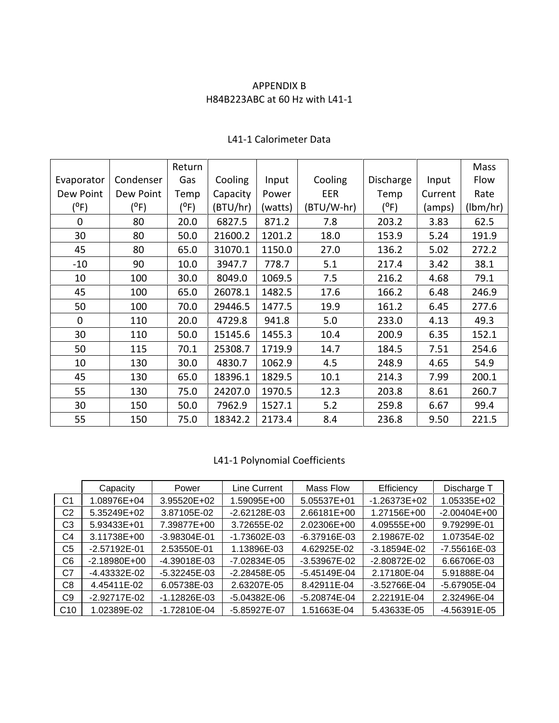#### APPENDIX B H84B223ABC at 60 Hz with L41-1

|             |           | Return        |          |         |            |               |         | Mass     |
|-------------|-----------|---------------|----------|---------|------------|---------------|---------|----------|
| Evaporator  | Condenser | Gas           | Cooling  | Input   | Cooling    | Discharge     | Input   | Flow     |
| Dew Point   | Dew Point | Temp          | Capacity | Power   | EER        | Temp          | Current | Rate     |
| $(^oF)$     | (°F)      | $(^{\circ}F)$ | (BTU/hr) | (watts) | (BTU/W-hr) | $(^{\circ}F)$ | (amps)  | (lbm/hr) |
| $\mathbf 0$ | 80        | 20.0          | 6827.5   | 871.2   | 7.8        | 203.2         | 3.83    | 62.5     |
| 30          | 80        | 50.0          | 21600.2  | 1201.2  | 18.0       | 153.9         | 5.24    | 191.9    |
| 45          | 80        | 65.0          | 31070.1  | 1150.0  | 27.0       | 136.2         | 5.02    | 272.2    |
| $-10$       | 90        | 10.0          | 3947.7   | 778.7   | 5.1        | 217.4         | 3.42    | 38.1     |
| 10          | 100       | 30.0          | 8049.0   | 1069.5  | 7.5        | 216.2         | 4.68    | 79.1     |
| 45          | 100       | 65.0          | 26078.1  | 1482.5  | 17.6       | 166.2         | 6.48    | 246.9    |
| 50          | 100       | 70.0          | 29446.5  | 1477.5  | 19.9       | 161.2         | 6.45    | 277.6    |
| $\mathbf 0$ | 110       | 20.0          | 4729.8   | 941.8   | 5.0        | 233.0         | 4.13    | 49.3     |
| 30          | 110       | 50.0          | 15145.6  | 1455.3  | 10.4       | 200.9         | 6.35    | 152.1    |
| 50          | 115       | 70.1          | 25308.7  | 1719.9  | 14.7       | 184.5         | 7.51    | 254.6    |
| 10          | 130       | 30.0          | 4830.7   | 1062.9  | 4.5        | 248.9         | 4.65    | 54.9     |
| 45          | 130       | 65.0          | 18396.1  | 1829.5  | 10.1       | 214.3         | 7.99    | 200.1    |
| 55          | 130       | 75.0          | 24207.0  | 1970.5  | 12.3       | 203.8         | 8.61    | 260.7    |
| 30          | 150       | 50.0          | 7962.9   | 1527.1  | 5.2        | 259.8         | 6.67    | 99.4     |
| 55          | 150       | 75.0          | 18342.2  | 2173.4  | 8.4        | 236.8         | 9.50    | 221.5    |

# L41-1 Calorimeter Data

# L41-1 Polynomial Coefficients

|                 | Capacity       | Power           | Line Current     | Mass Flow    | Efficiency     | Discharge T    |
|-----------------|----------------|-----------------|------------------|--------------|----------------|----------------|
| C <sub>1</sub>  | 1.08976E+04    | 3.95520E+02     | .59095E+00       | 5.05537E+01  | $-1.26373E+02$ | 1.05335E+02    |
| C2              | 5.35249E+02    | 3.87105E-02     | $-2.62128E-03$   | 2.66181E+00  | 1.27156E+00    | $-2.00404E+00$ |
| C3              | 5.93433E+01    | 7.39877E+00     | 3.72655E-02      | 2.02306E+00  | 4.09555E+00    | 9.79299E-01    |
| C4              | 3.11738E+00    | $-3.98304E -01$ | $-1.73602E - 03$ | -6.37916E-03 | 2.19867E-02    | 1.07354E-02    |
| C <sub>5</sub>  | $-2.57192E-01$ | 2.53550E-01     | 1.13896E-03      | 4.62925E-02  | $-3.18594E-02$ | -7.55616E-03   |
| C <sub>6</sub>  | $-2.18980E+00$ | -4.39018E-03    | -7.02834E-05     | -3.53967E-02 | -2.80872E-02   | 6.66706E-03    |
| C7              | -4.43332E-02   | -5.32245E-03    | $-2.28458E - 05$ | -5.45149E-04 | 2.17180E-04    | 5.91888E-04    |
| C8              | 4.45411E-02    | 6.05738E-03     | 2.63207E-05      | 8.42911E-04  | -3.52766E-04   | -5.67905E-04   |
| C9              | $-2.92717E-02$ | -1.12826E-03    | -5.04382E-06     | -5.20874E-04 | 2.22191E-04    | 2.32496E-04    |
| C <sub>10</sub> | 1.02389E-02    | -1.72810E-04    | -5.85927E-07     | 1.51663E-04  | 5.43633E-05    | -4.56391E-05   |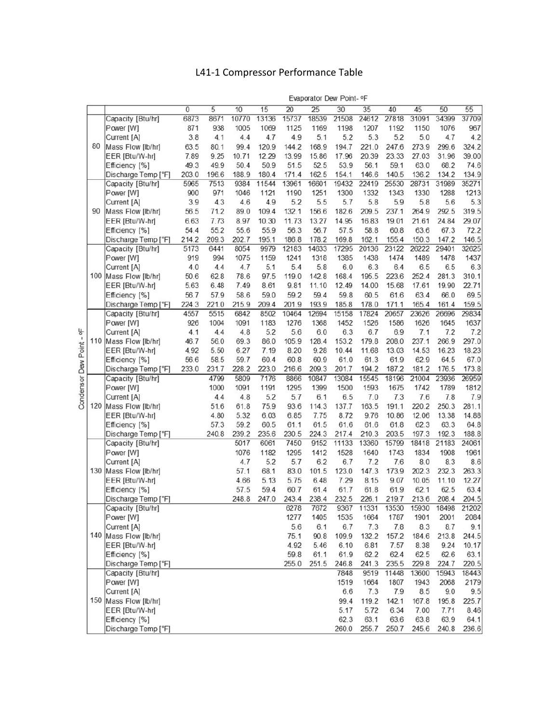# L41-1 Compressor Performance Table

|                     |     |                                       |                |              |               |               |                 |                | Evaporator Dew Point- OF |               |                |               |               |               |
|---------------------|-----|---------------------------------------|----------------|--------------|---------------|---------------|-----------------|----------------|--------------------------|---------------|----------------|---------------|---------------|---------------|
|                     |     |                                       | $\overline{0}$ | 5            | 10            | 15            | $\overline{20}$ | 25             | 30                       | 35            | 40             | 45            | 50            | 55            |
|                     |     | Capacity [Btu/hr]                     | 6873           | 8671         | 10770         | 13136         | 15737           | 18539          | 21508                    | 24612         | 27818          | 31091         | 34399         | 37709         |
|                     |     | Power [W]                             | 871            | 938          | 1005          | 1069          | 1125            | 1169           | 1198                     | 1207          | 1192           | 1150          | 1076          | 967           |
|                     |     | Current [A]                           | 3.8            | 4.1          | 4.4           | 4.7           | 4.9             | 5.1            | 5.2                      | 5.3           | 5.2            | 5.0           | 4.7           | 4.2           |
|                     | 80  | Mass Flow [lb/hr]                     | 63.5           | 80.1         | 99.4          | 120.9         | 144.2           | 168.9          | 194.7                    | 221.0         | 247.6          | 273.9         | 299.6         | 324.2         |
|                     |     | EER [Btu/W-hr]                        | 7.89           | 9.25         | 10.71         | 12.29         | 13.99           | 15.86          | 17.96                    | 20.39         | 23.33          | 27.03         | 31.96         | 39.00         |
|                     |     | Efficiency [%]                        | 49.3           | 49.9         | 50.4          | 50.9          | 51.5            | 52.5           | 53.9                     | 56.1          | 59.1           | 63.0          | 68.2          | 74.6          |
|                     |     | Discharge Temp [°F]                   | 203.0          | 196.6        | 188.9         | 180.4         | 171.4           | 162.5          | 154.1                    | 146.6         | 140.5          | 136.2         | 134.2         | 134.9         |
|                     |     | Capacity [Btu/hr]                     | 5965           | 7513         | 9384          | 11544         | 13961           | 16601          | 19432                    | 22419         | 25530          | 28731         | 31989         | 35271         |
|                     |     | Power [W]                             | 900            | 971          | 1046          | 1121          | 1190            | 1251           | 1300                     | 1332          | 1343           | 1330          | 1288          | 1213          |
|                     |     | Current [A]                           | 3.9            | 4.3          | 4.6           | 4.9           | 5.2             | 5.5            | 5.7                      | 5.8           | 5.9            | 5.8           | 5.6           | 5.3           |
|                     | 90  | Mass Flow [lb/hr]                     | 56.5           | 71.2         | 89.0          | 109.4         | 132.1           | 156.6          | 182.6                    | 209.5         | 237.1          | 264.9         | 292.5         | 319.5         |
|                     |     | EER [Btu/W-hr]                        | 6.63           | 7.73         | 8.97          | 10.30         | 11.73           | 13.27          | 14.95                    | 16.83         | 19.01          | 21.61         | 24.84         | 29.07         |
|                     |     | Efficiency [%]                        | 54.4           | 55.2         | 55.6          | 55.9          | 56.3            | 56.7           | 57.5                     | 58.8          | 60.8           | 63.6          | 67.3          | 72.2          |
|                     |     | Discharge Temp [°F]                   | 214.2          | 209.3        | 202.7         | 195.1         | 186.8           | 178.2          | 169.8                    | 162.1         | 155.4          | 150.3         | 147.2         | 146.5         |
|                     |     | Capacity [Btu/hr]                     | 5173           | 6441         | 8054          | 9979          | 12183           | 14633          | 17295                    | 20136         | 23122          | 26222         | 29401         | 32625         |
|                     |     | Power [W]                             | 919            | 994          | 1075          | 1159          | 1241            | 1318           | 1385                     | 1438          | 1474           | 1489          | 1478          | 1437          |
|                     |     | Current [A]                           | 4.0            | 4.4          | 4.7           | 5.1           | 5.4             | 5.8            | 6.0                      | 6.3           | 6.4            | 6.5           | 6.5           | 6.3           |
|                     |     | 100 Mass Flow [lb/hr]                 | 50.6           | 62.8         | 78.6          | 97.5          | 119.0           | 142.8<br>11.10 | 168.4<br>12.49           | 195.5         | 223.6<br>15.68 | 252.4         | 281.3         | 310.1         |
|                     |     | EER [Btu/W-hr]                        | 5.63           | 6.48<br>57.9 | 7.49          | 8.61          | 9.81<br>59.2    | 59.4           |                          | 14.00<br>60.5 | 61.6           | 17.61<br>63.4 | 19.90<br>66.0 | 22.71<br>69.5 |
|                     |     | Efficiency [%]<br>Discharge Temp [°F] | 56.7           | 221.0        | 58.6<br>215.9 | 59.0<br>209.4 | 201.9           | 193.9          | 59.8<br>185.8            | 178.0         | 171.1          | 165.4         | 161.4         | 159.5         |
|                     |     | Capacity [Btu/hr]                     | 224.3<br>4557  | 5515         | 6842          | 8502          | 10464           | 12694          | 15158                    | 17824         | 20657          | 23626         | 26696         | 29834         |
|                     |     | Power [W]                             | 926            | 1004         | 1091          | 1183          | 1276            | 1368           | 1452                     | 1526          | 1586           | 1626          | 1645          | 1637          |
|                     |     | Current [A]                           | 4.1            | 4.4          | 4.8           | 5.2           | 5.6             | 6.0            | 6.3                      | 6.7           | 6.9            | 7.1           | 7.2           | 7.2           |
| ۹-                  | 110 | Mass Flow [lb/hr]                     | 46.7           | 56.0         | 69.3          | 86.0          | 105.9           | 128.4          | 153.2                    | 179.8         | 208.0          | 237.1         | 266.9         | 297.0         |
|                     |     | EER [Btu/W-hr]                        | 4.92           | 5.50         | 6.27          | 7.19          | 8.20            | 9.28           | 10.44                    | 11.68         | 13.03          | 14.53         | 16.23         | 18.23         |
|                     |     | Efficiency [%]                        | 56.6           | 58.5         | 59.7          | 60.4          | 60.8            | 60.9           | 61.0                     | 61.3          | 61.9           | 62.9          | 64.5          | 67.0          |
|                     |     | Discharge Temp [°F]                   | 233.0          | 231.7        | 228.2         | 223.0         | 216.6           | 209.3          | 201.7                    | 194.2         | 187.2          | 181.2         | 176.5         | 173.8         |
| Condensor Dew Point |     | Capacity [Btu/hr]                     |                | 4799         | 5809          | 7176          | 8866            | 10847          | 13084                    | 15545         | 18196          | 21004         | 23936         | 26959         |
|                     |     | Power [W]                             |                | 1000         | 1091          | 1191          | 1295            | 1399           | 1500                     | 1593          | 1675           | 1742          | 1789          | 1812          |
|                     |     | Current [A]                           |                | 4.4          | 4.8           | 5.2           | 5.7             | 6.1            | 6.5                      | 7.0           | 7.3            | 7.6           | 7.8           | 7.9           |
|                     | 120 | Mass Flow [lb/hr]                     |                | 51.6         | 61.8          | 75.9          | 93.6            | 114.3          | 137.7                    | 163.5         | 191.1          | 220.2         | 250.3         | 281.1         |
|                     |     | EER [Btu/W-hr]                        |                | 4.80         | 5.32          | 6.03          | 6.85            | 7.75           | 8.72                     | 9.76          | 10.86          | 12.06         | 13.38         | 14.88         |
|                     |     | Efficiency [%]                        |                | 57.3         | 59.2          | 60.5          | 61.1            | 61.5           | 61.6                     | 61.6          | 61.8           | 62.3          | 63.3          | 64.8          |
|                     |     | Discharge Temp [°F]                   |                | 240.8        | 239.2         | 235.6         | 230.5           | 224.3          | 217.4                    | 210.3         | 203.5          | 197.3         | 192.3         | 188.8         |
|                     |     | Capacity [Btu/hr]                     |                |              | 5017          | 6061          | 7450            | 9152           | 11133                    | 13360         | 15799          | 18418         | 21183         | 24061         |
|                     |     | Power [W]                             |                |              | 1076          | 1182          | 1295            | 1412           | 1528                     | 1640          | 1743           | 1834          | 1908          | 1961          |
|                     |     | Current [A]                           |                |              | 4.7           | 5.2           | 5.7             | 6.2            | 6.7                      | 7.2           | 7.6            | 8.0           | 8.3           | 8.6           |
|                     | 130 | Mass Flow [lb/hr]                     |                |              | 57.1          | 68.1          | 83.0            | 101.5          | 123.0                    | 147.3         | 173.9          | 202.3         | 232.3         | 263.3         |
|                     |     | EER [Btu/W-hr]                        |                |              | 4.66          | 5.13          | 5.75            | 6.48           | 7.29                     | 8.15          | 9.07           | 10.05         | 11.10         | 12.27         |
|                     |     | Efficiency [%]                        |                |              | 57.5          | 59.4          | 60.7            | 61.4           | 61.7                     | 61.8          | 61.9           | 62.1          | 62.5          | 63.4          |
|                     |     | Discharge Temp [°F]                   |                |              | 248.8         | 247.0         | 243.4           | 238.4<br>7672  | 232.5<br>9367            | 226.1         | 219.7          | 213.6         | 208.4         | 204.5         |
|                     |     | Capacity [Btu/hr]<br>Power [W]        |                |              |               |               | 6278<br>1277    | 1405           | 1535                     | 11331<br>1664 | 13530<br>1787  | 15930<br>1901 | 18498<br>2001 | 21202<br>2084 |
|                     |     | Current [A]                           |                |              |               |               | 5.6             | 6.1            | 6.7                      | 7.3           | 7.8            | 8.3           | 8.7           | 9.1           |
|                     |     | 140 Mass Flow [lb/hr]                 |                |              |               |               | 75.1            | 90.8           | 109.9                    | 132.2         | 157.2          | 184.6         | 213.8         | 244.5         |
|                     |     | EER [Btu/W-hr]                        |                |              |               |               | 4.92            | 5.46           | 6.10                     | 6.81          | 7.57           | 8.38          | 9.24          | 10.17         |
|                     |     | Efficiency [%]                        |                |              |               |               | 59.8            | 61.1           | 61.9                     | 62.2          | 62.4           | 62.5          | 62.6          | 63.1          |
|                     |     | Discharge Temp [°F]                   |                |              |               |               | 255.0           | 251.5          | 246.8                    | 241.3         | 235.5          | 229.8         | 224.7         | 220.5         |
|                     |     | Capacity [Btu/hr]                     |                |              |               |               |                 |                | 7848                     | 9519          | 11448          | 13600         | 15943         | 18443         |
|                     |     | Power [W]                             |                |              |               |               |                 |                | 1519                     | 1664          | 1807           | 1943          | 2068          | 2179          |
|                     |     | Current [A]                           |                |              |               |               |                 |                | 6.6                      | 7.3           | 7.9            | 8.5           | 9.0           | 9.5           |
|                     |     | 150 Mass Flow [lb/hr]                 |                |              |               |               |                 |                | 99.4                     | 119.2         | 142.1          | 167.8         | 195.8         | 225.7         |
|                     |     | EER [Btu/W-hr]                        |                |              |               |               |                 |                | 5.17                     | 5.72          | 6.34           | 7.00          | 7.71          | 8.46          |
|                     |     | Efficiency [%]                        |                |              |               |               |                 |                | 62.3                     | 63.1          | 63.6           | 63.8          | 63.9          | 64.1          |
|                     |     | Discharge Temp [°F]                   |                |              |               |               |                 |                | 260.0                    | 255.7         | 250.7          | 245.6         | 240.8         | 236.6         |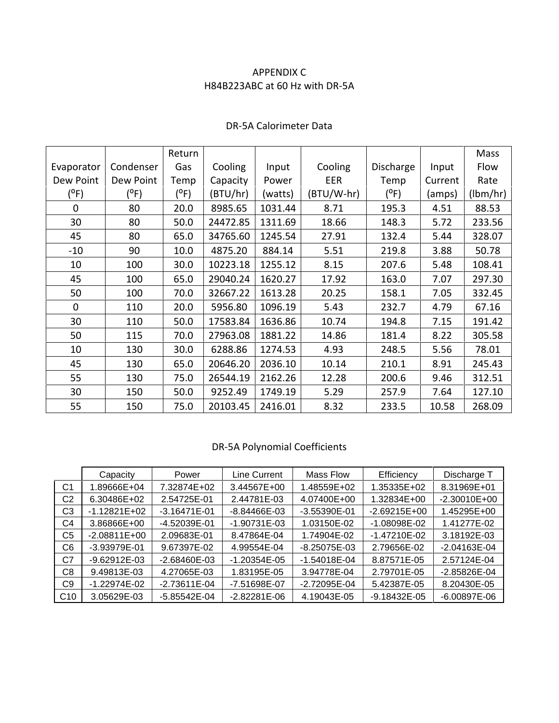## APPENDIX C H84B223ABC at 60 Hz with DR-5A

|              |           | Return  |          |         |            |           |         | Mass     |
|--------------|-----------|---------|----------|---------|------------|-----------|---------|----------|
| Evaporator   | Condenser | Gas     | Cooling  | Input   | Cooling    | Discharge | Input   | Flow     |
| Dew Point    | Dew Point | Temp    | Capacity | Power   | EER        | Temp      | Current | Rate     |
| $(^oF)$      | (°F)      | $(^oF)$ | (BTU/hr) | (watts) | (BTU/W-hr) | $(^oF)$   | (amps)  | (lbm/hr) |
| $\mathbf 0$  | 80        | 20.0    | 8985.65  | 1031.44 | 8.71       | 195.3     | 4.51    | 88.53    |
| 30           | 80        | 50.0    | 24472.85 | 1311.69 | 18.66      | 148.3     | 5.72    | 233.56   |
| 45           | 80        | 65.0    | 34765.60 | 1245.54 | 27.91      | 132.4     | 5.44    | 328.07   |
| $-10$        | 90        | 10.0    | 4875.20  | 884.14  | 5.51       | 219.8     | 3.88    | 50.78    |
| 10           | 100       | 30.0    | 10223.18 | 1255.12 | 8.15       | 207.6     | 5.48    | 108.41   |
| 45           | 100       | 65.0    | 29040.24 | 1620.27 | 17.92      | 163.0     | 7.07    | 297.30   |
| 50           | 100       | 70.0    | 32667.22 | 1613.28 | 20.25      | 158.1     | 7.05    | 332.45   |
| $\mathbf{0}$ | 110       | 20.0    | 5956.80  | 1096.19 | 5.43       | 232.7     | 4.79    | 67.16    |
| 30           | 110       | 50.0    | 17583.84 | 1636.86 | 10.74      | 194.8     | 7.15    | 191.42   |
| 50           | 115       | 70.0    | 27963.08 | 1881.22 | 14.86      | 181.4     | 8.22    | 305.58   |
| 10           | 130       | 30.0    | 6288.86  | 1274.53 | 4.93       | 248.5     | 5.56    | 78.01    |
| 45           | 130       | 65.0    | 20646.20 | 2036.10 | 10.14      | 210.1     | 8.91    | 245.43   |
| 55           | 130       | 75.0    | 26544.19 | 2162.26 | 12.28      | 200.6     | 9.46    | 312.51   |
| 30           | 150       | 50.0    | 9252.49  | 1749.19 | 5.29       | 257.9     | 7.64    | 127.10   |
| 55           | 150       | 75.0    | 20103.45 | 2416.01 | 8.32       | 233.5     | 10.58   | 268.09   |

#### DR-5A Calorimeter Data

#### DR-5A Polynomial Coefficients

|                | Capacity       | Power            | Line Current     | Mass Flow    | Efficiency     | Discharge T      |
|----------------|----------------|------------------|------------------|--------------|----------------|------------------|
| C <sub>1</sub> | 1.89666E+04    | 7.32874E+02      | 3.44567E+00      | 1.48559E+02  | 1.35335E+02    | 8.31969E+01      |
| C2             | 6.30486E+02    | 2.54725E-01      | 2.44781E-03      | 4.07400E+00  | 1.32834E+00    | $-2.30010E + 00$ |
| C3             | $-1.12821E+02$ | $-3.16471E-01$   | -8.84466E-03     | -3.55390E-01 | $-2.69215E+00$ | 1.45295E+00      |
| C4             | 3.86866E+00    | -4.52039E-01     | $-1.90731E-03$   | 1.03150E-02  | -1.08098E-02   | 1.41277E-02      |
| C <sub>5</sub> | $-2.08811E+00$ | 2.09683E-01      | 8.47864E-04      | 1.74904E-02  | $-1.47210E-02$ | 3.18192E-03      |
| C6             | -3.93979E-01   | 9.67397E-02      | 4.99554E-04      | -8.25075E-03 | 2.79656E-02    | $-2.04163E-04$   |
| C7             | -9.62912E-03   | $-2.68460E - 03$ | $-1.20354E - 05$ | -1.54018E-04 | 8.87571E-05    | 2.57124E-04      |
| C8             | 9.49813E-03    | 4.27065E-03      | 1.83195E-05      | 3.94778E-04  | 2.79701E-05    | -2.85826E-04     |
| C9             | -1.22974E-02   | $-2.73611E-04$   | -7.51698E-07     | -2.72095E-04 | 5.42387E-05    | 8.20430E-05      |
| C10            | 3.05629E-03    | -5.85542E-04     | $-2.82281E-06$   | 4.19043E-05  | -9.18432E-05   | $-6.00897E-06$   |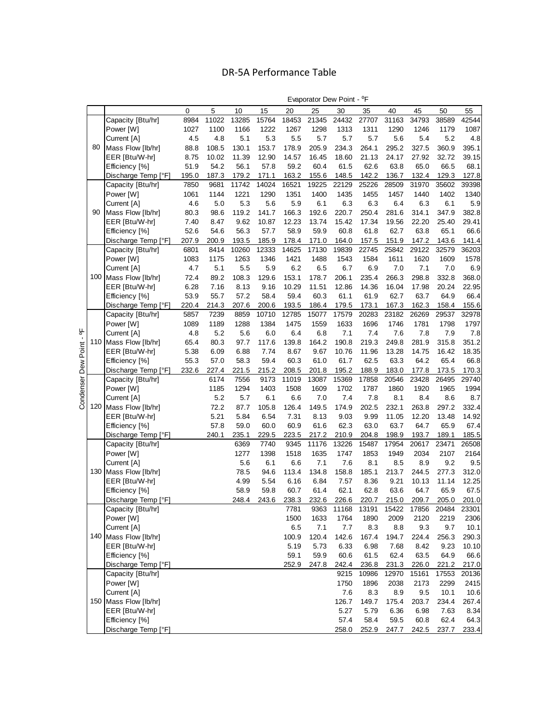# DR-5A Performance Table

|                     |    |                       | 0     | 5     | 10    | 15    | 20    | 25    | 30    | 35    | 40    | 45    | 50    | 55    |
|---------------------|----|-----------------------|-------|-------|-------|-------|-------|-------|-------|-------|-------|-------|-------|-------|
|                     |    | Capacity [Btu/hr]     | 8984  | 11022 | 13285 | 15764 | 18453 | 21345 | 24432 | 27707 | 31163 | 34793 | 38589 | 42544 |
|                     |    | Power [W]             | 1027  | 1100  | 1166  | 1222  | 1267  | 1298  | 1313  | 1311  | 1290  | 1246  | 1179  | 1087  |
|                     |    | Current [A]           | 4.5   | 4.8   | 5.1   | 5.3   | 5.5   | 5.7   | 5.7   | 5.7   | 5.6   | 5.4   | 5.2   | 4.8   |
|                     | 80 | Mass Flow [lb/hr]     | 88.8  | 108.5 | 130.1 | 153.7 | 178.9 | 205.9 | 234.3 | 264.1 | 295.2 | 327.5 | 360.9 | 395.1 |
|                     |    | EER [Btu/W-hr]        | 8.75  | 10.02 | 11.39 | 12.90 | 14.57 | 16.45 | 18.60 | 21.13 | 24.17 | 27.92 | 32.72 | 39.15 |
|                     |    | Efficiency [%]        | 51.9  | 54.2  | 56.1  | 57.8  | 59.2  | 60.4  | 61.5  | 62.6  | 63.8  | 65.0  | 66.5  | 68.1  |
|                     |    |                       |       |       |       |       |       |       |       |       |       |       |       |       |
|                     |    | Discharge Temp [°F]   | 195.0 | 187.3 | 179.2 | 171.1 | 163.2 | 155.6 | 148.5 | 142.2 | 136.7 | 132.4 | 129.3 | 127.8 |
|                     |    | Capacity [Btu/hr]     | 7850  | 9681  | 11742 | 14024 | 16521 | 19225 | 22129 | 25226 | 28509 | 31970 | 35602 | 39398 |
|                     |    | Power [W]             | 1061  | 1144  | 1221  | 1290  | 1351  | 1400  | 1435  | 1455  | 1457  | 1440  | 1402  | 1340  |
|                     |    | Current [A]           | 4.6   | 5.0   | 5.3   | 5.6   | 5.9   | 6.1   | 6.3   | 6.3   | 6.4   | 6.3   | 6.1   | 5.9   |
|                     | 90 | Mass Flow [lb/hr]     | 80.3  | 98.6  | 119.2 | 141.7 | 166.3 | 192.6 | 220.7 | 250.4 | 281.6 | 314.1 | 347.9 | 382.8 |
|                     |    | EER [Btu/W-hr]        | 7.40  | 8.47  | 9.62  | 10.87 | 12.23 | 13.74 | 15.42 | 17.34 | 19.56 | 22.20 | 25.40 | 29.41 |
|                     |    | Efficiency [%]        | 52.6  | 54.6  | 56.3  | 57.7  | 58.9  | 59.9  | 60.8  | 61.8  | 62.7  | 63.8  | 65.1  | 66.6  |
|                     |    | Discharge Temp [°F]   | 207.9 | 200.9 | 193.5 | 185.9 | 178.4 | 171.0 | 164.0 | 157.5 | 151.9 | 147.2 | 143.6 | 141.4 |
|                     |    | Capacity [Btu/hr]     | 6801  | 8414  | 10260 | 12333 | 14625 | 17130 | 19839 | 22745 | 25842 | 29122 | 32579 | 36203 |
|                     |    | Power [W]             | 1083  | 1175  | 1263  | 1346  | 1421  | 1488  | 1543  | 1584  | 1611  | 1620  | 1609  | 1578  |
|                     |    | Current [A]           | 4.7   | 5.1   | 5.5   | 5.9   | 6.2   | 6.5   | 6.7   | 6.9   | $7.0$ | 7.1   | 7.0   | 6.9   |
|                     |    | 100 Mass Flow [lb/hr] | 72.4  | 89.2  | 108.3 | 129.6 | 153.1 | 178.7 | 206.1 | 235.4 | 266.3 | 298.8 | 332.8 | 368.0 |
|                     |    | EER [Btu/W-hr]        | 6.28  | 7.16  | 8.13  | 9.16  | 10.29 | 11.51 | 12.86 | 14.36 | 16.04 | 17.98 | 20.24 | 22.95 |
|                     |    | Efficiency [%]        | 53.9  | 55.7  | 57.2  | 58.4  | 59.4  | 60.3  | 61.1  | 61.9  | 62.7  | 63.7  | 64.9  | 66.4  |
|                     |    | Discharge Temp [°F]   | 220.4 | 214.3 | 207.6 | 200.6 | 193.5 | 186.4 | 179.5 | 173.1 | 167.3 | 162.3 | 158.4 | 155.6 |
|                     |    | Capacity [Btu/hr]     | 5857  | 7239  | 8859  | 10710 | 12785 | 15077 | 17579 | 20283 | 23182 | 26269 | 29537 | 32978 |
|                     |    | Power [W]             | 1089  | 1189  | 1288  | 1384  | 1475  | 1559  | 1633  | 1696  | 1746  | 1781  | 1798  | 1797  |
| 븽                   |    | Current [A]           | 4.8   | 5.2   | 5.6   | 6.0   | 6.4   | 6.8   | 7.1   | 7.4   | 7.6   | 7.8   | 7.9   | 7.8   |
| $\blacksquare$      |    | 110 Mass Flow [lb/hr] | 65.4  | 80.3  | 97.7  | 117.6 | 139.8 | 164.2 | 190.8 | 219.3 | 249.8 | 281.9 | 315.8 | 351.2 |
|                     |    |                       |       |       |       |       |       |       |       |       |       |       |       |       |
|                     |    | EER [Btu/W-hr]        | 5.38  | 6.09  | 6.88  | 7.74  | 8.67  | 9.67  | 10.76 | 11.96 | 13.28 | 14.75 | 16.42 | 18.35 |
| Condenser Dew Point |    | Efficiency [%]        | 55.3  | 57.0  | 58.3  | 59.4  | 60.3  | 61.0  | 61.7  | 62.5  | 63.3  | 64.2  | 65.4  | 66.8  |
|                     |    | Discharge Temp [°F]   | 232.6 | 227.4 | 221.5 | 215.2 | 208.5 | 201.8 | 195.2 | 188.9 | 183.0 | 177.8 | 173.5 | 170.3 |
|                     |    | Capacity [Btu/hr]     |       | 6174  | 7556  | 9173  | 11019 | 13087 | 15369 | 17858 | 20546 | 23428 | 26495 | 29740 |
|                     |    | Power [W]             |       | 1185  | 1294  | 1403  | 1508  | 1609  | 1702  | 1787  | 1860  | 1920  | 1965  | 1994  |
|                     |    | Current [A]           |       | 5.2   | 5.7   | 6.1   | 6.6   | 7.0   | 7.4   | 7.8   | 8.1   | 8.4   | 8.6   | 8.7   |
|                     |    | 120 Mass Flow [lb/hr] |       | 72.2  | 87.7  | 105.8 | 126.4 | 149.5 | 174.9 | 202.5 | 232.1 | 263.8 | 297.2 | 332.4 |
|                     |    | EER [Btu/W-hr]        |       | 5.21  | 5.84  | 6.54  | 7.31  | 8.13  | 9.03  | 9.99  | 11.05 | 12.20 | 13.48 | 14.92 |
|                     |    | Efficiency [%]        |       | 57.8  | 59.0  | 60.0  | 60.9  | 61.6  | 62.3  | 63.0  | 63.7  | 64.7  | 65.9  | 67.4  |
|                     |    | Discharge Temp [°F]   |       | 240.1 | 235.1 | 229.5 | 223.5 | 217.2 | 210.9 | 204.8 | 198.9 | 193.7 | 189.1 | 185.5 |
|                     |    | Capacity [Btu/hr]     |       |       | 6369  | 7740  | 9345  | 11176 | 13226 | 15487 | 17954 | 20617 | 23471 | 26508 |
|                     |    | Power [W]             |       |       | 1277  | 1398  | 1518  | 1635  | 1747  | 1853  | 1949  | 2034  | 2107  | 2164  |
|                     |    | Current [A]           |       |       | 5.6   | 6.1   | 6.6   | 7.1   | 7.6   | 8.1   | 8.5   | 8.9   | 9.2   | 9.5   |
|                     |    | 130 Mass Flow [lb/hr] |       |       | 78.5  | 94.6  | 113.4 | 134.8 | 158.8 | 185.1 | 213.7 | 244.5 | 277.3 | 312.0 |
|                     |    | EER [Btu/W-hr]        |       |       | 4.99  | 5.54  | 6.16  | 6.84  | 7.57  | 8.36  | 9.21  | 10.13 | 11.14 | 12.25 |
|                     |    | Efficiency [%]        |       |       | 58.9  | 59.8  | 60.7  | 61.4  | 62.1  | 62.8  | 63.6  | 64.7  | 65.9  | 67.5  |
|                     |    | Discharge Temp [°F]   |       |       | 248.4 | 243.6 | 238.3 | 232.6 | 226.6 | 220.7 | 215.0 | 209.7 | 205.0 | 201.0 |
|                     |    | Capacity [Btu/hr]     |       |       |       |       | 7781  | 9363  | 11168 | 13191 | 15422 | 17856 | 20484 | 23301 |
|                     |    | Power [W]             |       |       |       |       | 1500  | 1633  | 1764  | 1890  | 2009  | 2120  | 2219  | 2306  |
|                     |    | Current [A]           |       |       |       |       | 6.5   | 7.1   | 7.7   | 8.3   | 8.8   | 9.3   | 9.7   | 10.1  |
|                     |    | 140 Mass Flow [lb/hr] |       |       |       |       | 100.9 | 120.4 | 142.6 | 167.4 | 194.7 | 224.4 | 256.3 | 290.3 |
|                     |    | EER [Btu/W-hr]        |       |       |       |       | 5.19  | 5.73  | 6.33  | 6.98  | 7.68  | 8.42  | 9.23  | 10.10 |
|                     |    | Efficiency [%]        |       |       |       |       | 59.1  | 59.9  | 60.6  | 61.5  | 62.4  | 63.5  | 64.9  | 66.6  |
|                     |    | Discharge Temp [°F]   |       |       |       |       | 252.9 | 247.8 | 242.4 | 236.8 | 231.3 | 226.0 | 221.2 | 217.0 |
|                     |    |                       |       |       |       |       |       |       |       |       |       |       |       |       |
|                     |    | Capacity [Btu/hr]     |       |       |       |       |       |       | 9215  | 10986 | 12970 | 15161 | 17553 | 20136 |
|                     |    | Power [W]             |       |       |       |       |       |       | 1750  | 1896  | 2038  | 2173  | 2299  | 2415  |
|                     |    | Current [A]           |       |       |       |       |       |       | 7.6   | 8.3   | 8.9   | 9.5   | 10.1  | 10.6  |
|                     |    | 150 Mass Flow [lb/hr] |       |       |       |       |       |       | 126.7 | 149.7 | 175.4 | 203.7 | 234.4 | 267.4 |
|                     |    | EER [Btu/W-hr]        |       |       |       |       |       |       | 5.27  | 5.79  | 6.36  | 6.98  | 7.63  | 8.34  |
|                     |    | Efficiency [%]        |       |       |       |       |       |       | 57.4  | 58.4  | 59.5  | 60.8  | 62.4  | 64.3  |
|                     |    | Discharge Temp [°F]   |       |       |       |       |       |       | 258.0 | 252.9 | 247.7 | 242.5 | 237.7 | 233.4 |

Evaporator Dew Point - <sup>o</sup>F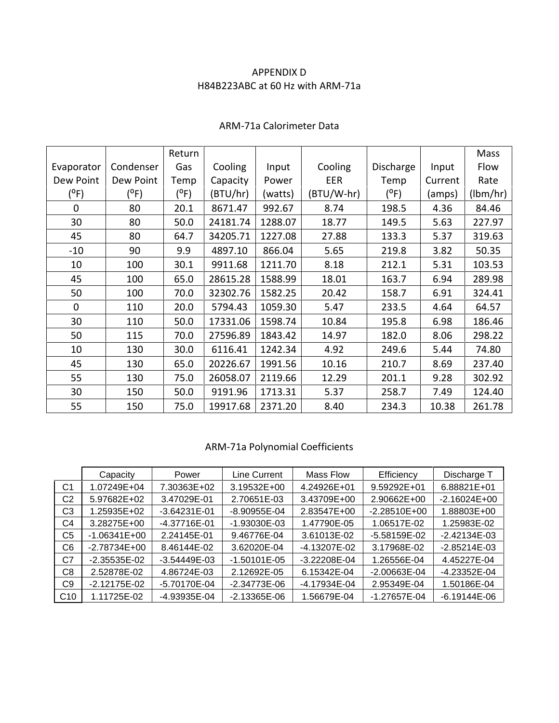## APPENDIX D H84B223ABC at 60 Hz with ARM-71a

|              |           | Return  |          |         |            |               |         | Mass     |
|--------------|-----------|---------|----------|---------|------------|---------------|---------|----------|
| Evaporator   | Condenser | Gas     | Cooling  | Input   | Cooling    | Discharge     | Input   | Flow     |
| Dew Point    | Dew Point | Temp    | Capacity | Power   | <b>EER</b> | Temp          | Current | Rate     |
| $(^oF)$      | $(^oF)$   | $(^oF)$ | (BTU/hr) | (watts) | (BTU/W-hr) | $(^{\circ}F)$ | (amps)  | (lbm/hr) |
| $\mathbf 0$  | 80        | 20.1    | 8671.47  | 992.67  | 8.74       | 198.5         | 4.36    | 84.46    |
| 30           | 80        | 50.0    | 24181.74 | 1288.07 | 18.77      | 149.5         | 5.63    | 227.97   |
| 45           | 80        | 64.7    | 34205.71 | 1227.08 | 27.88      | 133.3         | 5.37    | 319.63   |
| $-10$        | 90        | 9.9     | 4897.10  | 866.04  | 5.65       | 219.8         | 3.82    | 50.35    |
| 10           | 100       | 30.1    | 9911.68  | 1211.70 | 8.18       | 212.1         | 5.31    | 103.53   |
| 45           | 100       | 65.0    | 28615.28 | 1588.99 | 18.01      | 163.7         | 6.94    | 289.98   |
| 50           | 100       | 70.0    | 32302.76 | 1582.25 | 20.42      | 158.7         | 6.91    | 324.41   |
| $\mathbf{0}$ | 110       | 20.0    | 5794.43  | 1059.30 | 5.47       | 233.5         | 4.64    | 64.57    |
| 30           | 110       | 50.0    | 17331.06 | 1598.74 | 10.84      | 195.8         | 6.98    | 186.46   |
| 50           | 115       | 70.0    | 27596.89 | 1843.42 | 14.97      | 182.0         | 8.06    | 298.22   |
| 10           | 130       | 30.0    | 6116.41  | 1242.34 | 4.92       | 249.6         | 5.44    | 74.80    |
| 45           | 130       | 65.0    | 20226.67 | 1991.56 | 10.16      | 210.7         | 8.69    | 237.40   |
| 55           | 130       | 75.0    | 26058.07 | 2119.66 | 12.29      | 201.1         | 9.28    | 302.92   |
| 30           | 150       | 50.0    | 9191.96  | 1713.31 | 5.37       | 258.7         | 7.49    | 124.40   |
| 55           | 150       | 75.0    | 19917.68 | 2371.20 | 8.40       | 234.3         | 10.38   | 261.78   |

## ARM-71a Calorimeter Data

# ARM-71a Polynomial Coefficients

|                | Capacity       | Power            | Line Current     | Mass Flow        | Efficiency       | Discharge T    |
|----------------|----------------|------------------|------------------|------------------|------------------|----------------|
| C <sub>1</sub> | 1.07249E+04    | 7.30363E+02      | 3.19532E+00      | 4.24926E+01      | 9.59292E+01      | 6.88821E+01    |
| C2             | 5.97682E+02    | 3.47029E-01      | 2.70651E-03      | 3.43709E+00      | 2.90662E+00      | $-2.16024E+00$ |
| C3             | 1.25935E+02    | $-3.64231E-01$   | -8.90955E-04     | 2.83547E+00      | $-2.28510E+00$   | 1.88803E+00    |
| C4             | 3.28275E+00    | -4.37716E-01     | -1.93030E-03     | 1.47790E-05      | 1.06517E-02      | 1.25983E-02    |
| C <sub>5</sub> | $-1.06341E+00$ | 2.24145E-01      | 9.46776E-04      | 3.61013E-02      | $-5.58159E-02$   | $-2.42134E-03$ |
| C6             | $-2.78734E+00$ | 8.46144E-02      | 3.62020E-04      | -4.13207E-02     | 3.17968E-02      | $-2.85214E-03$ |
| C7             | $-2.35535E-02$ | $-3.54449E - 03$ | $-1.50101E - 05$ | $-3.22208E - 04$ | 1.26556E-04      | 4.45227E-04    |
| C8             | 2.52878E-02    | 4.86724E-03      | 2.12692E-05      | 6.15342E-04      | -2.00663E-04     | -4.23352E-04   |
| C9             | $-2.12175E-02$ | -5.70170E-04     | $-2.34773E-06$   | -4.17934E-04     | 2.95349E-04      | 1.50186E-04    |
| C10            | 1.11725E-02    | -4.93935E-04     | $-2.13365E - 06$ | 1.56679E-04      | $-1.27657E - 04$ | $-6.19144E-06$ |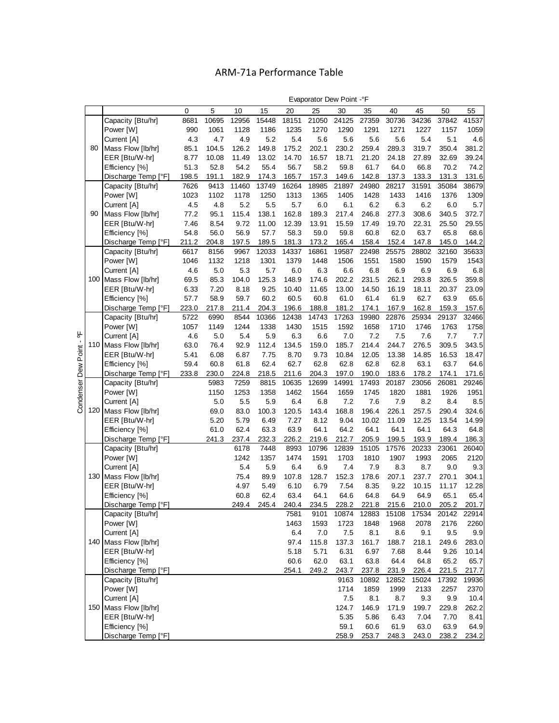# ARM-71a Performance Table

|                                  |     |                       |       |       |       |       |       | ∟vapoiatoi Dew Foliit |       |       |       |       |       |       |
|----------------------------------|-----|-----------------------|-------|-------|-------|-------|-------|-----------------------|-------|-------|-------|-------|-------|-------|
|                                  |     |                       | 0     | 5     | 10    | 15    | 20    | 25                    | 30    | 35    | 40    | 45    | 50    | 55    |
|                                  |     | Capacity [Btu/hr]     | 8681  | 10695 | 12956 | 15448 | 18151 | 21050                 | 24125 | 27359 | 30736 | 34236 | 37842 | 41537 |
|                                  |     | Power [W]             | 990   | 1061  | 1128  | 1186  | 1235  | 1270                  | 1290  | 1291  | 1271  | 1227  | 1157  | 1059  |
|                                  |     | Current [A]           | 4.3   | 4.7   | 4.9   | 5.2   | 5.4   | 5.6                   | 5.6   | 5.6   | 5.6   | 5.4   | 5.1   | 4.6   |
|                                  | 80  | Mass Flow [lb/hr]     | 85.1  | 104.5 | 126.2 | 149.8 | 175.2 | 202.1                 | 230.2 | 259.4 | 289.3 | 319.7 | 350.4 | 381.2 |
|                                  |     | EER [Btu/W-hr]        | 8.77  | 10.08 | 11.49 | 13.02 | 14.70 | 16.57                 | 18.71 | 21.20 | 24.18 | 27.89 | 32.69 | 39.24 |
|                                  |     | Efficiency [%]        | 51.3  | 52.8  | 54.2  | 55.4  | 56.7  | 58.2                  | 59.8  | 61.7  | 64.0  | 66.8  | 70.2  | 74.2  |
|                                  |     | Discharge Temp [°F]   | 198.5 | 191.1 | 182.9 | 174.3 | 165.7 | 157.3                 | 149.6 | 142.8 | 137.3 | 133.3 | 131.3 | 131.6 |
|                                  |     | Capacity [Btu/hr]     | 7626  | 9413  | 11460 | 13749 | 16264 | 18985                 | 21897 | 24980 | 28217 | 31591 | 35084 | 38679 |
|                                  |     | Power [W]             | 1023  | 1102  | 1178  | 1250  | 1313  | 1365                  | 1405  | 1428  | 1433  | 1416  | 1376  | 1309  |
|                                  |     | Current [A]           | 4.5   | 4.8   | 5.2   | 5.5   | 5.7   | 6.0                   | 6.1   | 6.2   | 6.3   | 6.2   | 6.0   | 5.7   |
|                                  | 90  | Mass Flow [lb/hr]     | 77.2  | 95.1  | 115.4 | 138.1 | 162.8 | 189.3                 | 217.4 | 246.8 | 277.3 | 308.6 | 340.5 | 372.7 |
|                                  |     | EER [Btu/W-hr]        | 7.46  | 8.54  | 9.72  | 11.00 | 12.39 | 13.91                 | 15.59 | 17.49 | 19.70 | 22.31 | 25.50 | 29.55 |
|                                  |     | Efficiency [%]        | 54.8  | 56.0  | 56.9  | 57.7  | 58.3  | 59.0                  | 59.8  | 60.8  | 62.0  | 63.7  | 65.8  | 68.6  |
|                                  |     | Discharge Temp [°F]   | 211.2 | 204.8 | 197.5 | 189.5 | 181.3 | 173.2                 | 165.4 | 158.4 | 152.4 | 147.8 | 145.0 | 144.2 |
|                                  |     | Capacity [Btu/hr]     | 6617  | 8156  | 9967  | 12033 | 14337 | 16861                 | 19587 | 22498 | 25575 | 28802 | 32160 | 35633 |
|                                  |     | Power [W]             | 1046  | 1132  | 1218  | 1301  | 1379  | 1448                  | 1506  | 1551  | 1580  | 1590  | 1579  | 1543  |
|                                  |     | Current [A]           | 4.6   | 5.0   | 5.3   | 5.7   | 6.0   | 6.3                   | 6.6   | 6.8   | 6.9   | 6.9   | 6.9   | 6.8   |
|                                  |     | 100 Mass Flow [lb/hr] | 69.5  | 85.3  | 104.0 | 125.3 | 148.9 | 174.6                 | 202.2 | 231.5 | 262.1 | 293.8 | 326.5 | 359.8 |
|                                  |     | EER [Btu/W-hr]        | 6.33  | 7.20  | 8.18  | 9.25  | 10.40 | 11.65                 | 13.00 | 14.50 | 16.19 | 18.11 | 20.37 | 23.09 |
|                                  |     | Efficiency [%]        | 57.7  | 58.9  | 59.7  | 60.2  | 60.5  | 60.8                  | 61.0  | 61.4  | 61.9  | 62.7  | 63.9  | 65.6  |
|                                  |     | Discharge Temp [°F]   | 223.0 | 217.8 | 211.4 | 204.3 | 196.6 | 188.8                 | 181.2 | 174.1 | 167.9 | 162.8 | 159.3 | 157.6 |
|                                  |     | Capacity [Btu/hr]     | 5722  | 6990  | 8544  | 10366 | 12438 | 14743                 | 17263 | 19980 | 22876 | 25934 | 29137 | 32466 |
|                                  |     | Power [W]             | 1057  | 1149  | 1244  | 1338  | 1430  | 1515                  | 1592  | 1658  | 1710  | 1746  | 1763  | 1758  |
| $\overline{\phantom{a}}^{\circ}$ |     | Current [A]           | 4.6   | 5.0   | 5.4   | 5.9   | 6.3   | 6.6                   | 7.0   | 7.2   | 7.5   | 7.6   | 7.7   | 7.7   |
|                                  |     | 110 Mass Flow [lb/hr] | 63.0  | 76.4  | 92.9  | 112.4 | 134.5 | 159.0                 | 185.7 | 214.4 | 244.7 | 276.5 | 309.5 | 343.5 |
|                                  |     | EER [Btu/W-hr]        | 5.41  | 6.08  | 6.87  | 7.75  | 8.70  | 9.73                  | 10.84 | 12.05 | 13.38 | 14.85 | 16.53 | 18.47 |
|                                  |     | Efficiency [%]        | 59.4  | 60.8  | 61.8  | 62.4  | 62.7  | 62.8                  | 62.8  | 62.8  | 62.8  | 63.1  | 63.7  | 64.6  |
|                                  |     | Discharge Temp [°F]   | 233.8 | 230.0 | 224.8 | 218.5 | 211.6 | 204.3                 | 197.0 | 190.0 | 183.6 | 178.2 | 174.1 | 171.6 |
| Condenser Dew Point              |     | Capacity [Btu/hr]     |       | 5983  | 7259  | 8815  | 10635 | 12699                 | 14991 | 17493 | 20187 | 23056 | 26081 | 29246 |
|                                  |     | Power [W]             |       | 1150  | 1253  | 1358  | 1462  | 1564                  | 1659  | 1745  | 1820  | 1881  | 1926  | 1951  |
|                                  |     | Current [A]           |       | 5.0   | 5.5   | 5.9   | 6.4   | 6.8                   | 7.2   | 7.6   | 7.9   | 8.2   | 8.4   | 8.5   |
|                                  | 120 | Mass Flow [lb/hr]     |       | 69.0  | 83.0  | 100.3 | 120.5 | 143.4                 | 168.8 | 196.4 | 226.1 | 257.5 | 290.4 | 324.6 |
|                                  |     | EER [Btu/W-hr]        |       | 5.20  | 5.79  | 6.49  | 7.27  | 8.12                  | 9.04  | 10.02 | 11.09 | 12.25 | 13.54 | 14.99 |
|                                  |     | Efficiency [%]        |       | 61.0  | 62.4  | 63.3  | 63.9  | 64.1                  | 64.2  | 64.1  | 64.1  | 64.1  | 64.3  | 64.8  |
|                                  |     | Discharge Temp [°F]   |       | 241.3 | 237.4 | 232.3 | 226.2 | 219.6                 | 212.7 | 205.9 | 199.5 | 193.9 | 189.4 | 186.3 |
|                                  |     | Capacity [Btu/hr]     |       |       | 6178  | 7448  | 8993  | 10796                 | 12839 | 15105 | 17576 | 20233 | 23061 | 26040 |
|                                  |     | Power [W]             |       |       | 1242  | 1357  | 1474  | 1591                  | 1703  | 1810  | 1907  | 1993  | 2065  | 2120  |
|                                  |     | Current [A]           |       |       | 5.4   | 5.9   | 6.4   | 6.9                   | 7.4   | 7.9   | 8.3   | 8.7   | 9.0   | 9.3   |
|                                  | 130 | Mass Flow [lb/hr]     |       |       | 75.4  | 89.9  | 107.8 | 128.7                 | 152.3 | 178.6 | 207.1 | 237.7 | 270.1 | 304.1 |
|                                  |     | EER [Btu/W-hr]        |       |       | 4.97  | 5.49  | 6.10  | 6.79                  | 7.54  | 8.35  | 9.22  | 10.15 | 11.17 | 12.28 |
|                                  |     | Efficiency [%]        |       |       | 60.8  | 62.4  | 63.4  | 64.1                  | 64.6  | 64.8  | 64.9  | 64.9  | 65.1  | 65.4  |
|                                  |     | Discharge Temp [°F]   |       |       | 249.4 | 245.4 | 240.4 | 234.5                 | 228.2 | 221.8 | 215.6 | 210.0 | 205.2 | 201.7 |
|                                  |     | Capacity [Btu/hr]     |       |       |       |       | 7581  | 9101                  | 10874 | 12883 | 15108 | 17534 | 20142 | 22914 |
|                                  |     | Power [W]             |       |       |       |       | 1463  | 1593                  | 1723  | 1848  | 1968  | 2078  | 2176  | 2260  |
|                                  |     | Current [A]           |       |       |       |       | 6.4   | 7.0                   | 7.5   | 8.1   | 8.6   | 9.1   | 9.5   | 9.9   |
|                                  |     | 140 Mass Flow [lb/hr] |       |       |       |       | 97.4  | 115.8                 | 137.3 | 161.7 | 188.7 | 218.1 | 249.6 | 283.0 |
|                                  |     | EER [Btu/W-hr]        |       |       |       |       | 5.18  | 5.71                  | 6.31  | 6.97  | 7.68  | 8.44  | 9.26  | 10.14 |
|                                  |     | Efficiency [%]        |       |       |       |       | 60.6  | 62.0                  | 63.1  | 63.8  | 64.4  | 64.8  | 65.2  | 65.7  |
|                                  |     | Discharge Temp [°F]   |       |       |       |       | 254.1 | 249.2                 | 243.7 | 237.8 | 231.9 | 226.4 | 221.5 | 217.7 |
|                                  |     | Capacity [Btu/hr]     |       |       |       |       |       |                       | 9163  | 10892 | 12852 | 15024 | 17392 | 19936 |
|                                  |     | Power [W]             |       |       |       |       |       |                       | 1714  | 1859  | 1999  | 2133  | 2257  | 2370  |
|                                  |     | Current [A]           |       |       |       |       |       |                       | 7.5   | 8.1   | 8.7   | 9.3   | 9.9   | 10.4  |
|                                  |     | 150 Mass Flow [lb/hr] |       |       |       |       |       |                       | 124.7 | 146.9 | 171.9 | 199.7 | 229.8 | 262.2 |
|                                  |     | EER [Btu/W-hr]        |       |       |       |       |       |                       | 5.35  | 5.86  | 6.43  | 7.04  | 7.70  | 8.41  |
|                                  |     | Efficiency [%]        |       |       |       |       |       |                       | 59.1  | 60.6  | 61.9  | 63.0  | 63.9  | 64.9  |
|                                  |     | Discharge Temp [°F]   |       |       |       |       |       |                       | 258.9 | 253.7 | 248.3 | 243.0 | 238.2 | 234.2 |

Evaporator Dew Point -°F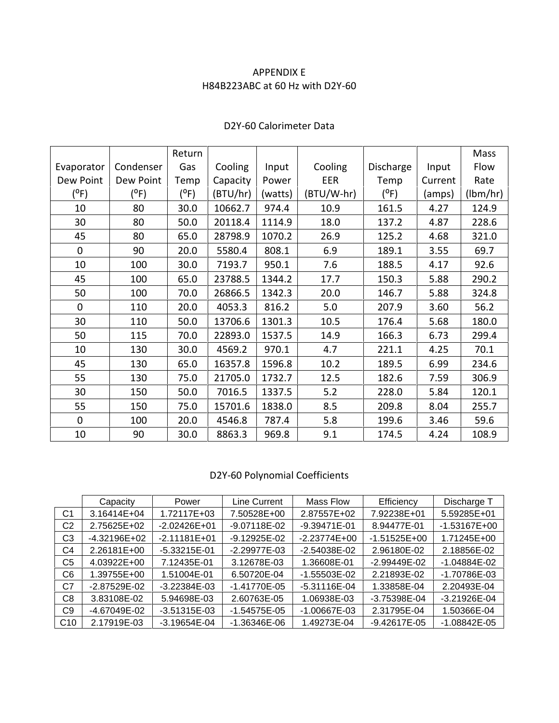## APPENDIX E H84B223ABC at 60 Hz with D2Y-60

|              |           | Return |          |         |            |           |         | Mass     |
|--------------|-----------|--------|----------|---------|------------|-----------|---------|----------|
| Evaporator   | Condenser | Gas    | Cooling  | Input   | Cooling    | Discharge | Input   | Flow     |
| Dew Point    | Dew Point | Temp   | Capacity | Power   | <b>EER</b> | Temp      | Current | Rate     |
| (°F)         | (°F)      | (°F)   | (BTU/hr) | (watts) | (BTU/W-hr) | (°F)      | (amps)  | (lbm/hr) |
| 10           | 80        | 30.0   | 10662.7  | 974.4   | 10.9       | 161.5     | 4.27    | 124.9    |
| 30           | 80        | 50.0   | 20118.4  | 1114.9  | 18.0       | 137.2     | 4.87    | 228.6    |
| 45           | 80        | 65.0   | 28798.9  | 1070.2  | 26.9       | 125.2     | 4.68    | 321.0    |
| $\mathbf 0$  | 90        | 20.0   | 5580.4   | 808.1   | 6.9        | 189.1     | 3.55    | 69.7     |
| 10           | 100       | 30.0   | 7193.7   | 950.1   | 7.6        | 188.5     | 4.17    | 92.6     |
| 45           | 100       | 65.0   | 23788.5  | 1344.2  | 17.7       | 150.3     | 5.88    | 290.2    |
| 50           | 100       | 70.0   | 26866.5  | 1342.3  | 20.0       | 146.7     | 5.88    | 324.8    |
| $\mathbf{0}$ | 110       | 20.0   | 4053.3   | 816.2   | 5.0        | 207.9     | 3.60    | 56.2     |
| 30           | 110       | 50.0   | 13706.6  | 1301.3  | 10.5       | 176.4     | 5.68    | 180.0    |
| 50           | 115       | 70.0   | 22893.0  | 1537.5  | 14.9       | 166.3     | 6.73    | 299.4    |
| 10           | 130       | 30.0   | 4569.2   | 970.1   | 4.7        | 221.1     | 4.25    | 70.1     |
| 45           | 130       | 65.0   | 16357.8  | 1596.8  | 10.2       | 189.5     | 6.99    | 234.6    |
| 55           | 130       | 75.0   | 21705.0  | 1732.7  | 12.5       | 182.6     | 7.59    | 306.9    |
| 30           | 150       | 50.0   | 7016.5   | 1337.5  | 5.2        | 228.0     | 5.84    | 120.1    |
| 55           | 150       | 75.0   | 15701.6  | 1838.0  | 8.5        | 209.8     | 8.04    | 255.7    |
| $\mathbf 0$  | 100       | 20.0   | 4546.8   | 787.4   | 5.8        | 199.6     | 3.46    | 59.6     |
| 10           | 90        | 30.0   | 8863.3   | 969.8   | 9.1        | 174.5     | 4.24    | 108.9    |

# D2Y-60 Calorimeter Data

# D2Y-60 Polynomial Coefficients

|                | Capacity         | Power            | Line Current   | Mass Flow        | Efficiency       | Discharge T      |
|----------------|------------------|------------------|----------------|------------------|------------------|------------------|
| C <sub>1</sub> | 3.16414E+04      | 1.72117E+03      | 7.50528E+00    | 2.87557E+02      | 7.92238E+01      | 5.59285E+01      |
| C2             | 2.75625E+02      | $-2.02426E + 01$ | -9.07118E-02   | $-9.39471E - 01$ | 8.94477E-01      | $-1.53167E+00$   |
| C3             | $-4.32196E+02$   | $-2.11181E+01$   | -9.12925E-02   | $-2.23774E+00$   | $-1.51525E+00$   | 1.71245E+00      |
| C4             | 2.26181E+00      | $-5.33215E-01$   | $-2.29977E-03$ | -2.54038E-02     | 2.96180E-02      | 2.18856E-02      |
| C5             | 4.03922E+00      | 7.12435E-01      | 3.12678E-03    | 1.36608E-01      | -2.99449E-02     | $-1.04884E - 02$ |
| C6             | 1.39755E+00      | 1.51004E-01      | 6.50720E-04    | $-1.55503E-02$   | 2.21893E-02      | -1.70786E-03     |
| C7             | $-2.87529E - 02$ | $-3.22384E - 03$ | $-1.41770E-05$ | $-5.31116E - 04$ | 1.33858E-04      | 2.20493E-04      |
| C8             | 3.83108E-02      | 5.94698E-03      | 2.60763E-05    | 1.06938E-03      | -3.75398E-04     | $-3.21926E - 04$ |
| C <sub>9</sub> | -4.67049E-02     | $-3.51315E-03$   | $-1.54575E-05$ | $-1.00667E-03$   | 2.31795E-04      | 1.50366E-04      |
| C10            | 2.17919E-03      | $-3.19654E - 04$ | -1.36346E-06   | 1.49273E-04      | $-9.42617E - 05$ | $-1.08842E - 05$ |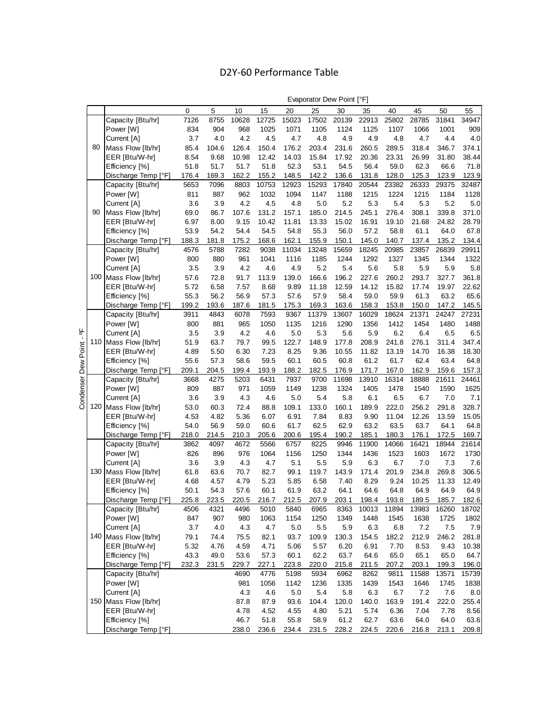# D2Y-60 Performance Table

|                          |     |                                          |               |               |             |               |              | $-$ rappided bond only |                | . .            |               |                |                |                |
|--------------------------|-----|------------------------------------------|---------------|---------------|-------------|---------------|--------------|------------------------|----------------|----------------|---------------|----------------|----------------|----------------|
|                          |     |                                          | $\mathbf 0$   | 5             | 10          | 15            | 20           | 25                     | 30             | 35             | 40            | 45             | 50             | 55             |
|                          |     | Capacity [Btu/hr]                        | 7126          | 8755          | 10628       | 12725         | 15023        | 17502                  | 20139          | 22913          | 25802         | 28785          | 31841          | 34947          |
|                          |     | Power [W]                                | 834           | 904           | 968         | 1025          | 1071         | 1105                   | 1124           | 1125           | 1107          | 1066           | 1001           | 909            |
|                          |     | Current [A]                              | 3.7           | 4.0           | 4.2         | 4.5           | 4.7          | 4.8                    | 4.9            | 4.9            | 4.8           | 4.7            | 4.4            | 4.0            |
|                          | 80  | Mass Flow [lb/hr]                        | 85.4          | 104.6         | 126.4       | 150.4         | 176.2        | 203.4                  | 231.6          | 260.5          | 289.5         | 318.4          | 346.7          | 374.1          |
|                          |     | EER [Btu/W-hr]                           | 8.54          | 9.68          | 10.98       | 12.42         | 14.03        | 15.84                  | 17.92          | 20.36          | 23.31         | 26.99          | 31.80          | 38.44          |
|                          |     | Efficiency [%]                           | 51.8          | 51.7          | 51.7        | 51.8          | 52.3         | 53.1                   | 54.5           | 56.4           | 59.0          | 62.3           | 66.6           | 71.8           |
|                          |     | Discharge Temp [°F]                      | 176.4         | 169.3         | 162.2       | 155.2         | 148.5        | 142.2                  | 136.6          | 131.8          | 128.0         | 125.3          | 123.9          | 123.9          |
|                          |     | Capacity [Btu/hr]                        | 5653          | 7096          | 8803        | 10753         | 12923        | 15293                  | 17840          | 20544          | 23382         | 26333          | 29375          | 32487          |
|                          |     | Power [W]                                | 811           | 887           | 962         | 1032          | 1094         | 1147                   | 1188           | 1215           | 1224          | 1215           | 1184           | 1128           |
|                          |     | Current [A]                              | 3.6           | 3.9           | 4.2         | 4.5           | 4.8          | 5.0                    | 5.2            | 5.3            | 5.4           | 5.3            | 5.2            | 5.0            |
|                          | 90  | Mass Flow [lb/hr]                        | 69.0          | 86.7          | 107.6       | 131.2         | 157.1        | 185.0                  | 214.5          | 245.1          | 276.4         | 308.1          | 339.8          | 371.0          |
|                          |     | EER [Btu/W-hr]                           | 6.97          | 8.00          | 9.15        | 10.42         | 11.81        | 13.33                  | 15.02          | 16.91          | 19.10         | 21.68          | 24.82          | 28.79          |
|                          |     | Efficiency [%]                           | 53.9          | 54.2          | 54.4        | 54.5          | 54.8         | 55.3                   | 56.0           | 57.2           | 58.8          | 61.1           | 64.0           | 67.8           |
|                          |     | Discharge Temp [°F]                      | 188.3         | 181.8         | 175.2       | 168.6         | 162.1        | 155.9                  | 150.1          | 145.0          | 140.7         | 137.4          | 135.2          | 134.4          |
|                          |     | Capacity [Btu/hr]                        | 4576          | 5788          | 7282        | 9038          | 11034        | 13248                  | 15659          | 18245          | 20985         | 23857          | 26839          | 29911          |
|                          |     | Power [W]                                | 800           | 880           | 961         | 1041          | 1116         | 1185                   | 1244           | 1292           | 1327          | 1345           | 1344           | 1322           |
|                          |     | Current [A]                              | 3.5           | 3.9           | 4.2         | 4.6           | 4.9          | 5.2                    | 5.4            | 5.6            | 5.8           | 5.9            | 5.9            | 5.8            |
|                          |     | 100 Mass Flow [lb/hr]                    | 57.6          | 72.8          | 91.7        | 113.9         | 139.0        | 166.6                  | 196.2          | 227.6          | 260.2         | 293.7          | 327.7          | 361.8          |
|                          |     | EER [Btu/W-hr]                           | 5.72          | 6.58          | 7.57        | 8.68          | 9.89         | 11.18                  | 12.59          | 14.12          | 15.82         | 17.74          | 19.97          | 22.62          |
|                          |     | Efficiency [%]                           | 55.3          | 56.2          | 56.9        | 57.3          | 57.6         | 57.9                   | 58.4           | 59.0           | 59.9          | 61.3           | 63.2           | 65.6           |
|                          |     | Discharge Temp [°F]                      | 199.2         | 193.6         | 187.6       | 181.5         | 175.3        | 169.3                  | 163.6          | 158.3          | 153.8         | 150.0          | 147.2          | 145.5          |
|                          |     | Capacity [Btu/hr]                        | 3911          | 4843          | 6078        | 7593          | 9367         | 11379                  | 13607          | 16029          | 18624         | 21371          | 24247          | 27231          |
|                          |     | Power [W]                                | 800           | 881           | 965         | 1050          | 1135         | 1216                   | 1290           | 1356           | 1412          | 1454           | 1480           | 1488           |
|                          |     |                                          | 3.5           | 3.9           | 4.2         | 4.6           | 5.0          | 5.3                    | 5.6            | 5.9            | 6.2           | 6.4            | 6.5            | 6.5            |
|                          |     | Current [A]<br>110 Mass Flow [lb/hr]     | 51.9          | 63.7          | 79.7        | 99.5          | 122.7        | 148.9                  | 177.8          | 208.9          | 241.8         | 276.1          | 311.4          | 347.4          |
|                          |     | EER [Btu/W-hr]                           |               |               |             |               |              |                        |                |                | 13.19         |                |                |                |
|                          |     |                                          | 4.89          | 5.50          | 6.30        | 7.23          | 8.25         | 9.36                   | 10.55          | 11.82          |               | 14.70<br>62.4  | 16.38<br>63.4  | 18.30          |
|                          |     | Efficiency [%]                           | 55.6          | 57.3          | 58.6        | 59.5          | 60.1         | 60.5                   | 60.8           | 61.2           | 61.7          |                |                | 64.8           |
| Condenser Dew Point - °F |     | Discharge Temp [°F]                      | 209.1<br>3668 | 204.5<br>4275 | 199.4       | 193.9<br>6431 | 188.2        | 182.5                  | 176.9<br>11698 | 171.7<br>13910 | 167.0         | 162.9<br>18888 | 159.6<br>21611 | 157.3<br>24461 |
|                          |     | Capacity [Btu/hr]<br>Power [W]           | 809           | 887           | 5203<br>971 | 1059          | 7937<br>1149 | 9700<br>1238           | 1324           | 1405           | 16314<br>1478 | 1540           | 1590           | 1625           |
|                          |     | Current [A]                              | 3.6           | 3.9           | 4.3         | 4.6           | 5.0          | 5.4                    | 5.8            | 6.1            | 6.5           | 6.7            | 7.0            | 7.1            |
|                          |     | 120 Mass Flow [lb/hr]                    | 53.0          | 60.3          | 72.4        | 88.8          | 109.1        | 133.0                  | 160.1          | 189.9          | 222.0         | 256.2          | 291.8          | 328.7          |
|                          |     | EER [Btu/W-hr]                           | 4.53          | 4.82          | 5.36        | 6.07          | 6.91         | 7.84                   | 8.83           | 9.90           | 11.04         | 12.26          | 13.59          | 15.05          |
|                          |     |                                          | 54.0          | 56.9          | 59.0        | 60.6          | 61.7         | 62.5                   | 62.9           | 63.2           | 63.5          | 63.7           | 64.1           | 64.8           |
|                          |     | Efficiency [%]                           | 218.0         |               | 210.3       | 205.6         | 200.6        | 195.4                  | 190.2          | 185.1          | 180.3         | 176.1          | 172.5          | 169.7          |
|                          |     | Discharge Temp [°F]<br>Capacity [Btu/hr] | 3862          | 214.5<br>4097 | 4672        | 5566          | 6757         | 8225                   | 9946           | 11900          | 14066         | 16421          | 18944          | 21614          |
|                          |     | Power [W]                                | 826           | 896           | 976         | 1064          | 1156         | 1250                   | 1344           | 1436           | 1523          | 1603           | 1672           | 1730           |
|                          |     | Current [A]                              | 3.6           | 3.9           | 4.3         | 4.7           | 5.1          | 5.5                    | 5.9            | 6.3            | 6.7           | 7.0            | 7.3            | 7.6            |
|                          |     | 130 Mass Flow [lb/hr]                    | 61.8          | 63.6          | 70.7        | 82.7          | 99.1         | 119.7                  | 143.9          | 171.4          | 201.9         | 234.8          | 269.8          | 306.5          |
|                          |     | EER [Btu/W-hr]                           | 4.68          | 4.57          | 4.79        | 5.23          | 5.85         | 6.58                   | 7.40           | 8.29           | 9.24          | 10.25          | 11.33          | 12.49          |
|                          |     | Efficiency [%]                           | 50.1          | 54.3          | 57.6        | 60.1          | 61.9         | 63.2                   | 64.1           | 64.6           | 64.8          | 64.9           | 64.9           | 64.9           |
|                          |     | Discharge Temp [°F]                      | 225.8         | 223.5         | 220.5       | 216.7         | 212.5        | 207.9                  | 203.1          | 198.4          | 193.8         | 189.5          | 185.7          | 182.6          |
|                          |     |                                          | 4506          | 4321          | 4496        | 5010          | 5840         | 6965                   | 8363           | 10013          | 11894         | 13983          | 16260          | 18702          |
|                          |     | Capacity [Btu/hr]<br>Power [W]           | 847           | 907           | 980         | 1063          | 1154         | 1250                   | 1349           | 1448           | 1545          | 1638           | 1725           | 1802           |
|                          |     | Current [A]                              | 3.7           | 4.0           | 4.3         | 4.7           | 5.0          |                        | 5.9            | $6.3\,$        | 6.8           | 7.2            | 7.5            | 7.9            |
|                          | 140 |                                          |               |               |             |               |              | 5.5                    |                |                | 182.2         |                |                |                |
|                          |     | Mass Flow [lb/hr]<br>EER [Btu/W-hr]      | 79.1          | 74.4          | 75.5        | 82.1          | 93.7         | 109.9                  | 130.3          | 154.5          |               | 212.9          | 246.2          | 281.8          |
|                          |     |                                          | 5.32          | 4.76          | 4.59        | 4.71          | 5.06         | 5.57                   | 6.20           | 6.91           | 7.70          | 8.53           | 9.43           | 10.38          |
|                          |     | Efficiency [%]                           | 43.3          | 49.0          | 53.6        | 57.3          | 60.1         | 62.2                   | 63.7           | 64.6           | 65.0          | 65.1           | 65.0           | 64.7           |
|                          |     | Discharge Temp [°F]                      | 232.3         | 231.5         | 229.7       | 227.1         | 223.8        | 220.0                  | 215.8          | 211.5          | 207.2         | 203.1          | 199.3          | 196.0          |
|                          |     | Capacity [Btu/hr]                        |               |               | 4690        | 4776          | 5198         | 5934                   | 6962           | 8262           | 9811          | 11588          | 13571          | 15739          |
|                          |     | Power [W]                                |               |               | 981         | 1056          | 1142         | 1236                   | 1335           | 1439           | 1543          | 1646           | 1745           | 1838           |
|                          |     | Current [A]                              |               |               | 4.3         | 4.6           | 5.0          | 5.4                    | 5.8            | 6.3            | 6.7           | 7.2            | 7.6            | 8.0            |
|                          |     | 150 Mass Flow [lb/hr]                    |               |               | 87.8        | 87.9          | 93.6         | 104.4                  | 120.0          | 140.0          | 163.9         | 191.4          | 222.0          | 255.4          |
|                          |     | EER [Btu/W-hr]                           |               |               | 4.78        | 4.52          | 4.55         | 4.80                   | 5.21           | 5.74           | 6.36          | 7.04           | 7.78           | 8.56           |
|                          |     | Efficiency [%]                           |               |               | 46.7        | 51.8          | 55.8         | 58.9                   | 61.2           | 62.7           | 63.6          | 64.0           | 64.0           | 63.6           |
|                          |     | Discharge Temp [°F]                      |               |               | 238.0       | 236.6         | 234.4        | 231.5                  | 228.2          | 224.5          | 220.6         | 216.8          | 213.1          | 209.8          |

Evaporator Dew Point [°F]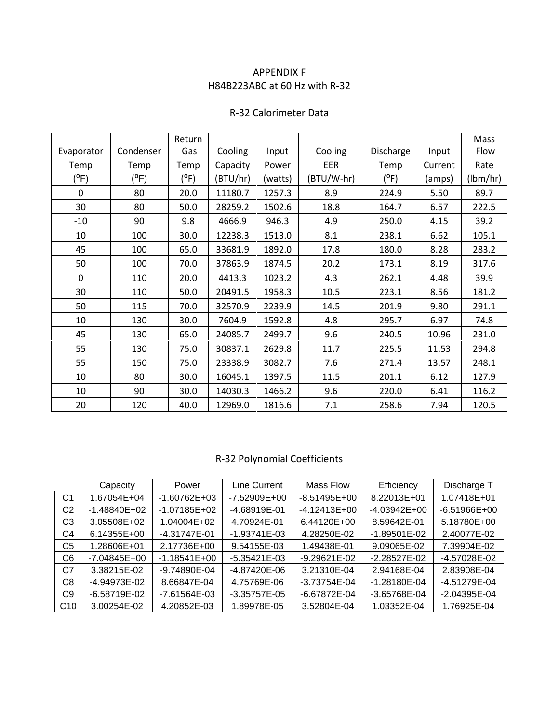## APPENDIX F H84B223ABC at 60 Hz with R-32

#### R-32 Calorimeter Data

|             |           | Return  |          |         |            |           |         | Mass     |
|-------------|-----------|---------|----------|---------|------------|-----------|---------|----------|
| Evaporator  | Condenser | Gas     | Cooling  | Input   | Cooling    | Discharge | Input   | Flow     |
| Temp        | Temp      | Temp    | Capacity | Power   | EER        | Temp      | Current | Rate     |
| $(^oF)$     | $(^oF)$   | $(^oF)$ | (BTU/hr) | (watts) | (BTU/W-hr) | (°F)      | (amps)  | (lbm/hr) |
| $\Omega$    | 80        | 20.0    | 11180.7  | 1257.3  | 8.9        | 224.9     | 5.50    | 89.7     |
| 30          | 80        | 50.0    | 28259.2  | 1502.6  | 18.8       | 164.7     | 6.57    | 222.5    |
| $-10$       | 90        | 9.8     | 4666.9   | 946.3   | 4.9        | 250.0     | 4.15    | 39.2     |
| 10          | 100       | 30.0    | 12238.3  | 1513.0  | 8.1        | 238.1     | 6.62    | 105.1    |
| 45          | 100       | 65.0    | 33681.9  | 1892.0  | 17.8       | 180.0     | 8.28    | 283.2    |
| 50          | 100       | 70.0    | 37863.9  | 1874.5  | 20.2       | 173.1     | 8.19    | 317.6    |
| $\mathbf 0$ | 110       | 20.0    | 4413.3   | 1023.2  | 4.3        | 262.1     | 4.48    | 39.9     |
| 30          | 110       | 50.0    | 20491.5  | 1958.3  | 10.5       | 223.1     | 8.56    | 181.2    |
| 50          | 115       | 70.0    | 32570.9  | 2239.9  | 14.5       | 201.9     | 9.80    | 291.1    |
| 10          | 130       | 30.0    | 7604.9   | 1592.8  | 4.8        | 295.7     | 6.97    | 74.8     |
| 45          | 130       | 65.0    | 24085.7  | 2499.7  | 9.6        | 240.5     | 10.96   | 231.0    |
| 55          | 130       | 75.0    | 30837.1  | 2629.8  | 11.7       | 225.5     | 11.53   | 294.8    |
| 55          | 150       | 75.0    | 23338.9  | 3082.7  | 7.6        | 271.4     | 13.57   | 248.1    |
| 10          | 80        | 30.0    | 16045.1  | 1397.5  | 11.5       | 201.1     | 6.12    | 127.9    |
| 10          | 90        | 30.0    | 14030.3  | 1466.2  | 9.6        | 220.0     | 6.41    | 116.2    |
| 20          | 120       | 40.0    | 12969.0  | 1816.6  | 7.1        | 258.6     | 7.94    | 120.5    |

# R-32 Polynomial Coefficients

|                 | Capacity       | Power            | Line Current     | Mass Flow        | Efficiency     | Discharge T    |
|-----------------|----------------|------------------|------------------|------------------|----------------|----------------|
| C <sub>1</sub>  | 1.67054E+04    | $-1.60762E + 03$ | $-7.52909E+00$   | $-8.51495E+00$   | 8.22013E+01    | 1.07418E+01    |
| C2              | $-1.48840E+02$ | $-1.07185E+02$   | -4.68919E-01     | $-4.12413E+00$   | $-4.03942E+00$ | $-6.51966E+00$ |
| C <sub>3</sub>  | 3.05508E+02    | 1.04004E+02      | 4.70924E-01      | 6.44120E+00      | 8.59642E-01    | 5.18780E+00    |
| C4              | 6.14355E+00    | -4.31747E-01     | $-1.93741E - 03$ | 4.28250E-02      | $-1.89501E-02$ | 2.40077E-02    |
| C <sub>5</sub>  | 1.28606E+01    | 2.17736E+00      | 9.54155E-03      | 1.49438E-01      | 9.09065E-02    | 7.39904E-02    |
| C <sub>6</sub>  | -7.04845E+00   | $-1.18541E+00$   | -5.35421E-03     | $-9.29621E - 02$ | $-2.28527E-02$ | -4.57028E-02   |
| C7              | 3.38215E-02    | -9.74890E-04     | -4.87420E-06     | 3.21310E-04      | 2.94168E-04    | 2.83908E-04    |
| C <sub>8</sub>  | -4.94973E-02   | 8.66847E-04      | 4.75769E-06      | -3.73754E-04     | $-1.28180E-04$ | -4.51279E-04   |
| C <sub>9</sub>  | $-6.58719E-02$ | -7.61564E-03     | $-3.35757E-05$   | -6.67872E-04     | -3.65768E-04   | -2.04395E-04   |
| C <sub>10</sub> | 3.00254E-02    | 4.20852E-03      | 1.89978E-05      | 3.52804E-04      | 1.03352E-04    | 1.76925E-04    |